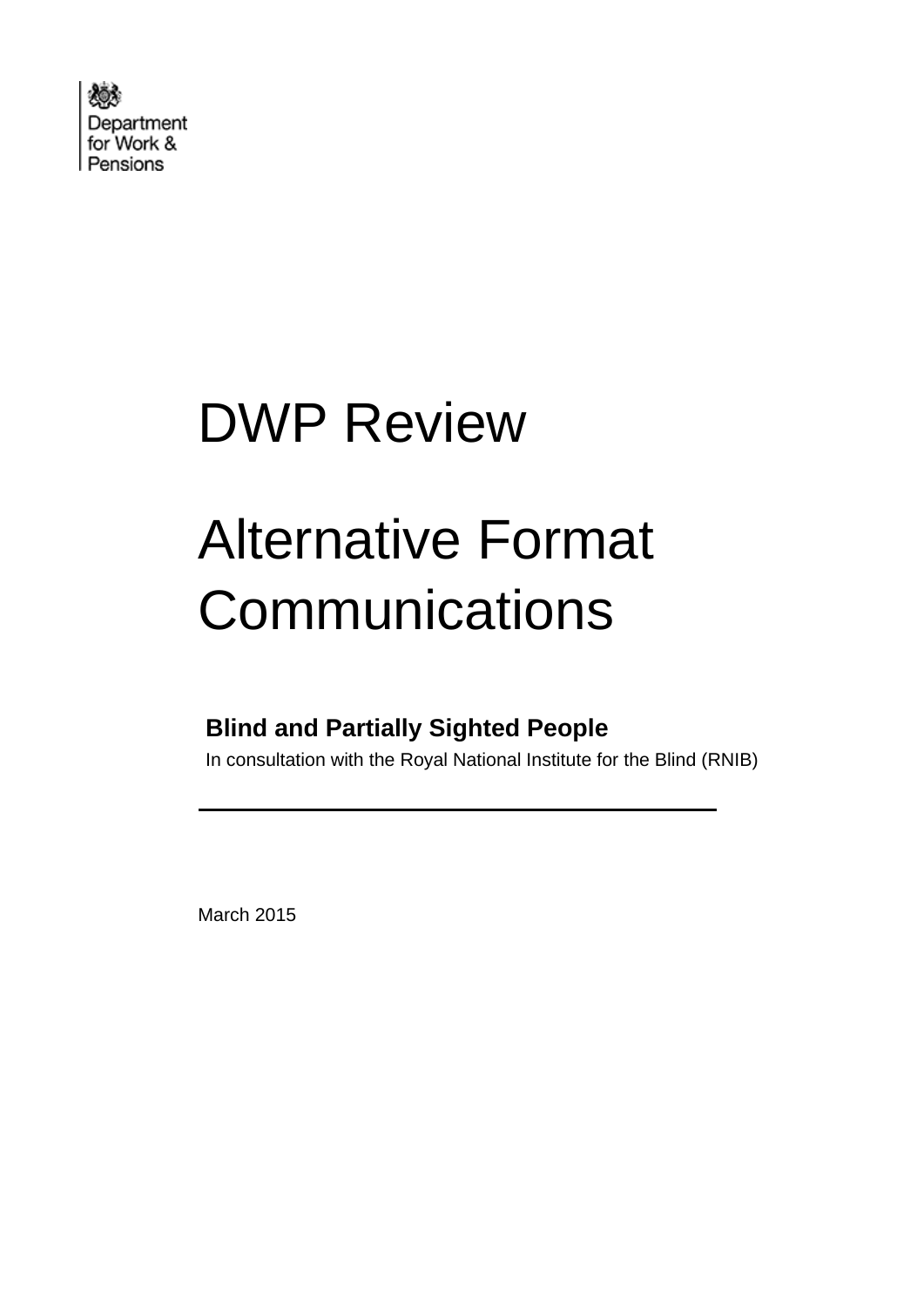

# DWP Review

# Alternative Format **Communications**

### **Blind and Partially Sighted People**

In consultation with the Royal National Institute for the Blind (RNIB)

consultation with the Royal National Institute for the Blind

March 2015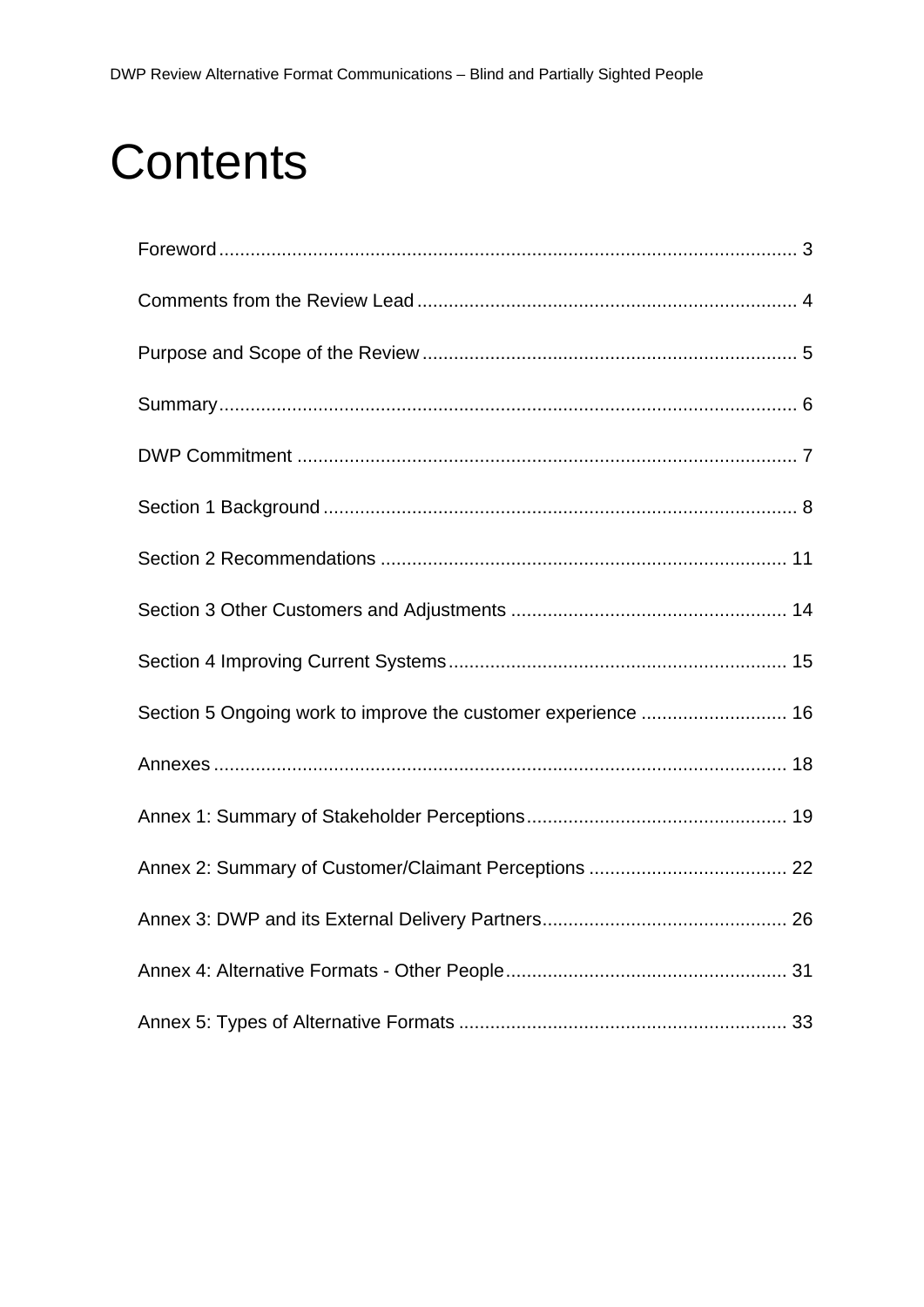## **Contents**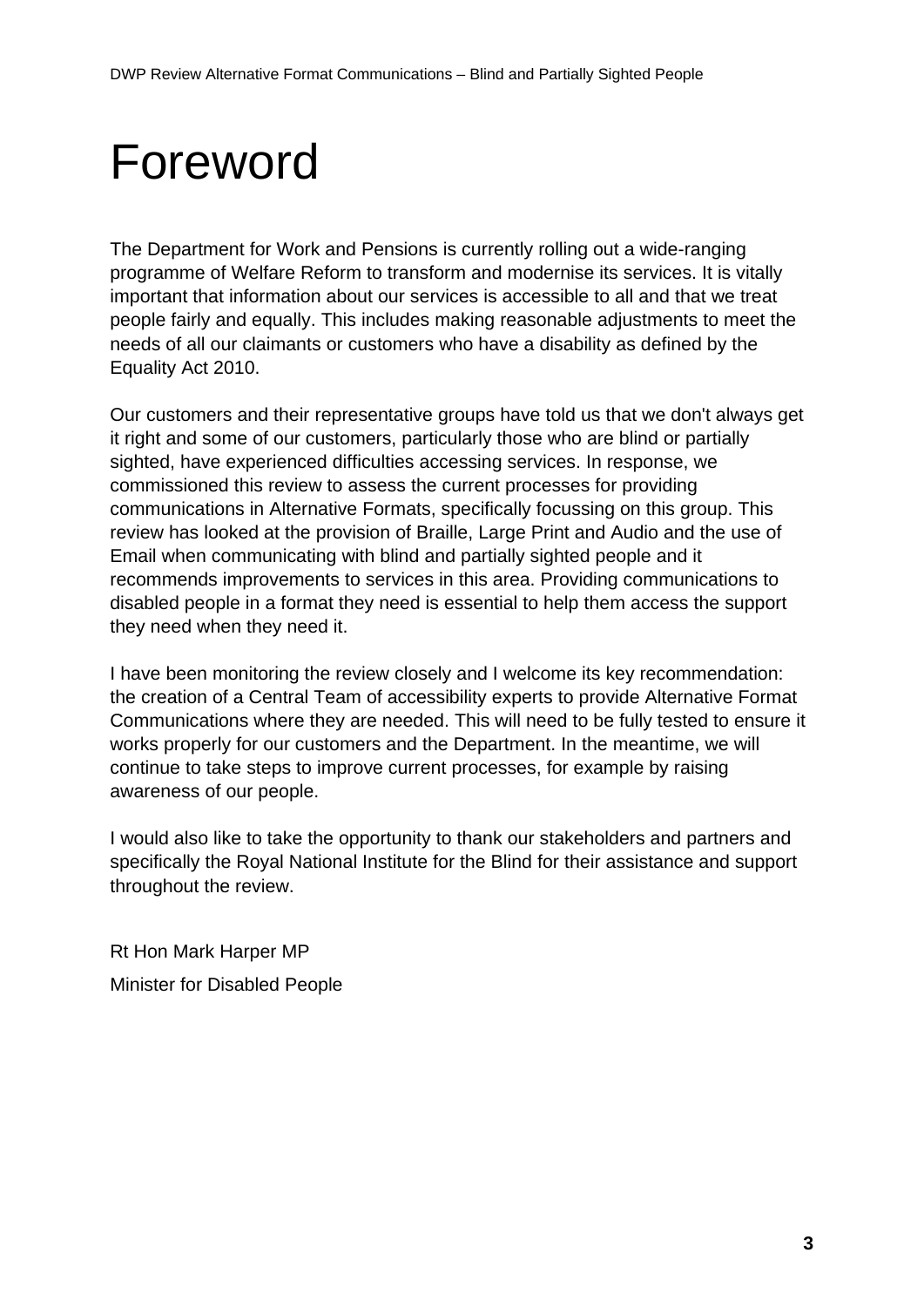# <span id="page-2-0"></span>Foreword

The Department for Work and Pensions is currently rolling out a wide-ranging programme of Welfare Reform to transform and modernise its services. It is vitally important that information about our services is accessible to all and that we treat people fairly and equally. This includes making reasonable adjustments to meet the needs of all our claimants or customers who have a disability as defined by the Equality Act 2010.

Our customers and their representative groups have told us that we don't always get it right and some of our customers, particularly those who are blind or partially sighted, have experienced difficulties accessing services. In response, we commissioned this review to assess the current processes for providing communications in Alternative Formats, specifically focussing on this group. This review has looked at the provision of Braille, Large Print and Audio and the use of Email when communicating with blind and partially sighted people and it recommends improvements to services in this area. Providing communications to disabled people in a format they need is essential to help them access the support they need when they need it.

I have been monitoring the review closely and I welcome its key recommendation: the creation of a Central Team of accessibility experts to provide Alternative Format Communications where they are needed. This will need to be fully tested to ensure it works properly for our customers and the Department. In the meantime, we will continue to take steps to improve current processes, for example by raising awareness of our people.

I would also like to take the opportunity to thank our stakeholders and partners and specifically the Royal National Institute for the Blind for their assistance and support throughout the review.

Rt Hon Mark Harper MP Minister for Disabled People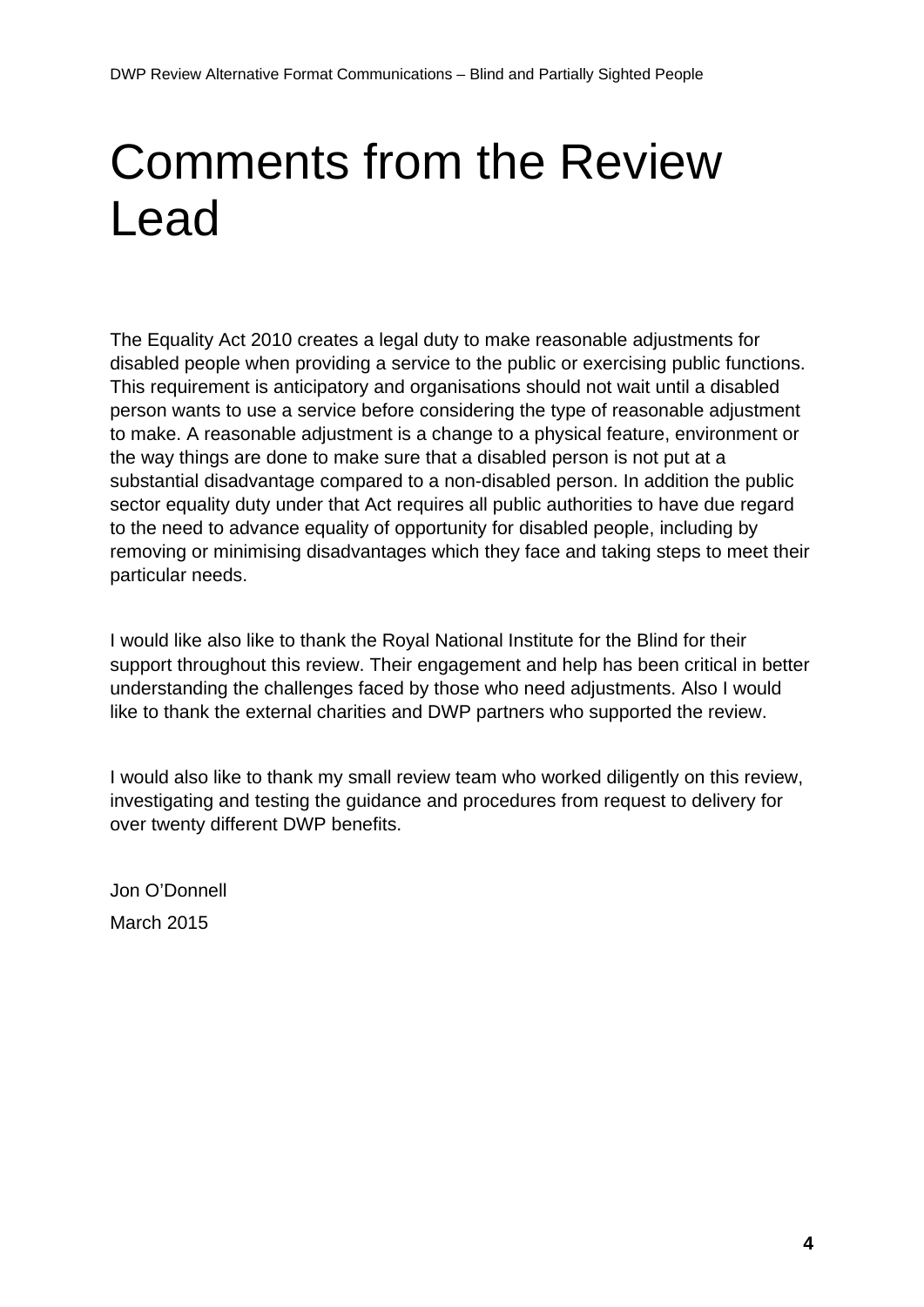# <span id="page-3-0"></span>Comments from the Review Lead

The Equality Act 2010 creates a legal duty to make reasonable adjustments for disabled people when providing a service to the public or exercising public functions. This requirement is anticipatory and organisations should not wait until a disabled person wants to use a service before considering the type of reasonable adjustment to make. A reasonable adjustment is a change to a physical feature, environment or the way things are done to make sure that a disabled person is not put at a substantial disadvantage compared to a non-disabled person. In addition the public sector equality duty under that Act requires all public authorities to have due regard to the need to advance equality of opportunity for disabled people, including by removing or minimising disadvantages which they face and taking steps to meet their particular needs.

I would like also like to thank the Royal National Institute for the Blind for their support throughout this review. Their engagement and help has been critical in better understanding the challenges faced by those who need adjustments. Also I would like to thank the external charities and DWP partners who supported the review.

I would also like to thank my small review team who worked diligently on this review, investigating and testing the guidance and procedures from request to delivery for over twenty different DWP benefits.

Jon O'Donnell March 2015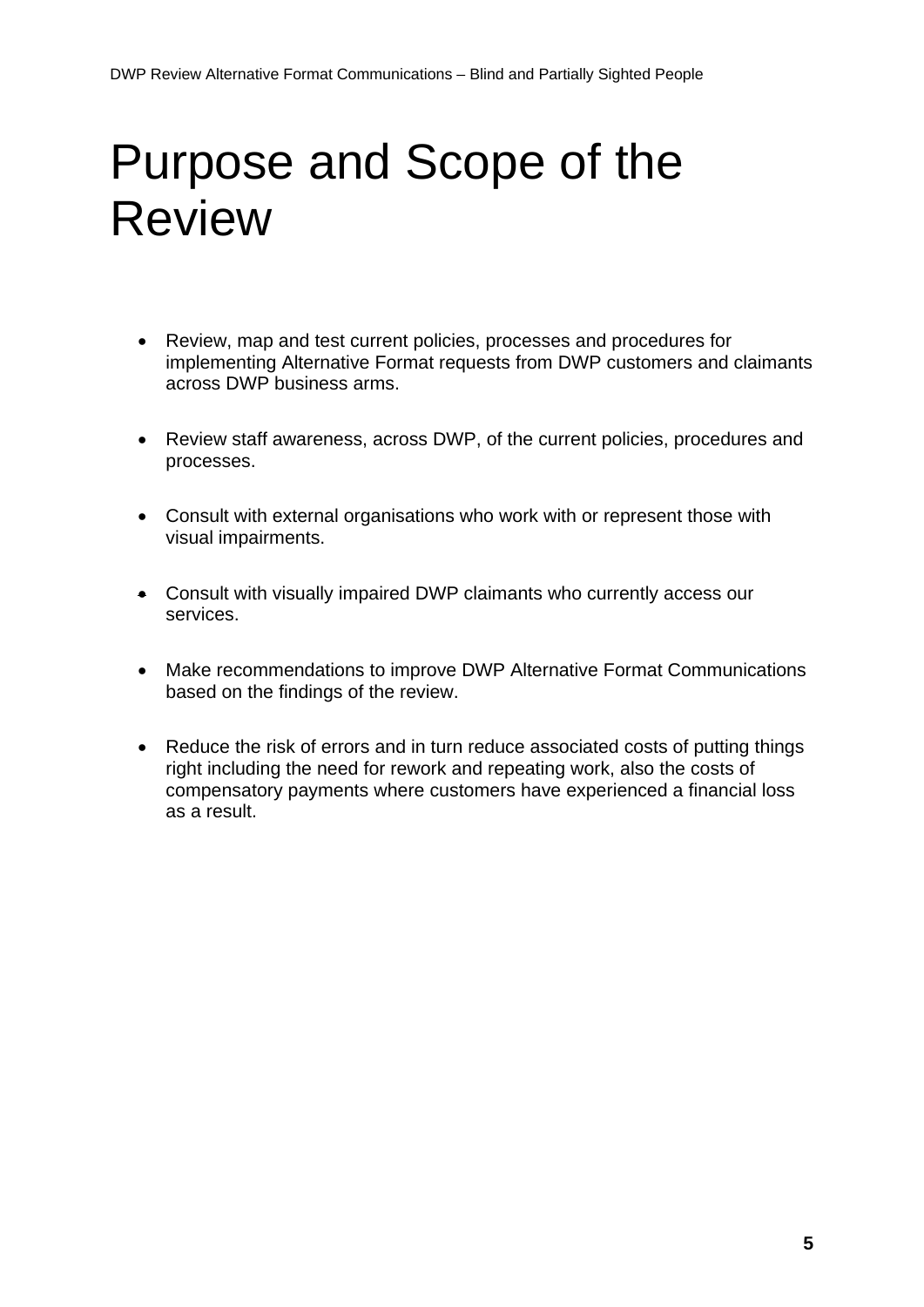# <span id="page-4-0"></span>Purpose and Scope of the Review

- Review, map and test current policies, processes and procedures for implementing Alternative Format requests from DWP customers and claimants across DWP business arms.
- Review staff awareness, across DWP, of the current policies, procedures and processes.
- Consult with external organisations who work with or represent those with visual impairments.
- Consult with visually impaired DWP claimants who currently access our services.
- Make recommendations to improve DWP Alternative Format Communications based on the findings of the review.
- Reduce the risk of errors and in turn reduce associated costs of putting things right including the need for rework and repeating work, also the costs of compensatory payments where customers have experienced a financial loss as a result.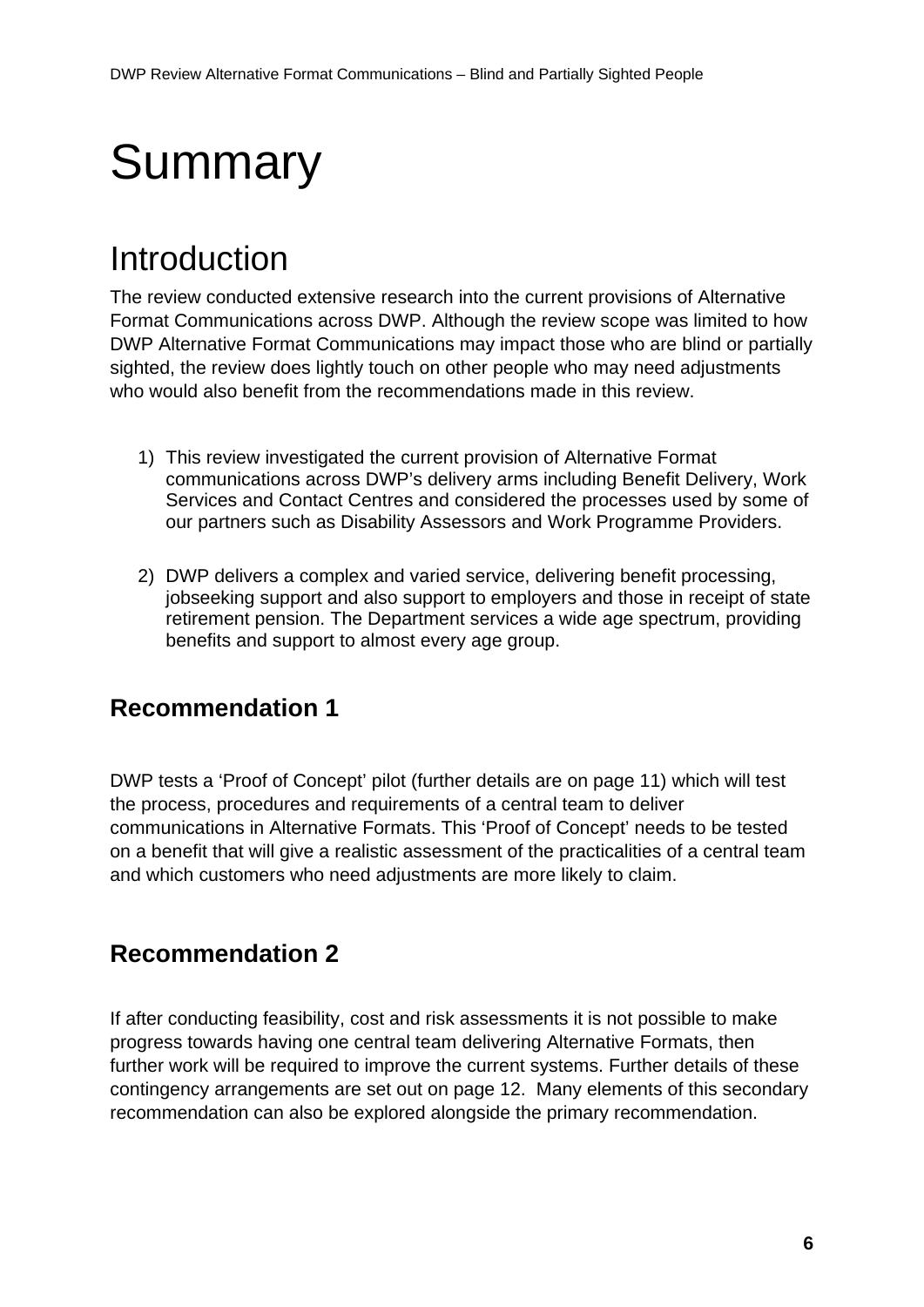# <span id="page-5-0"></span>**Summary**

### Introduction

The review conducted extensive research into the current provisions of Alternative Format Communications across DWP. Although the review scope was limited to how DWP Alternative Format Communications may impact those who are blind or partially sighted, the review does lightly touch on other people who may need adjustments who would also benefit from the recommendations made in this review.

- 1) This review investigated the current provision of Alternative Format communications across DWP's delivery arms including Benefit Delivery, Work Services and Contact Centres and considered the processes used by some of our partners such as Disability Assessors and Work Programme Providers.
- 2) DWP delivers a complex and varied service, delivering benefit processing, jobseeking support and also support to employers and those in receipt of state retirement pension. The Department services a wide age spectrum, providing benefits and support to almost every age group.

### **Recommendation 1**

DWP tests a 'Proof of Concept' pilot (further details are on page 11) which will test the process, procedures and requirements of a central team to deliver communications in Alternative Formats. This 'Proof of Concept' needs to be tested on a benefit that will give a realistic assessment of the practicalities of a central team and which customers who need adjustments are more likely to claim.

### **Recommendation 2**

If after conducting feasibility, cost and risk assessments it is not possible to make progress towards having one central team delivering Alternative Formats, then further work will be required to improve the current systems. Further details of these contingency arrangements are set out on page 12. Many elements of this secondary recommendation can also be explored alongside the primary recommendation.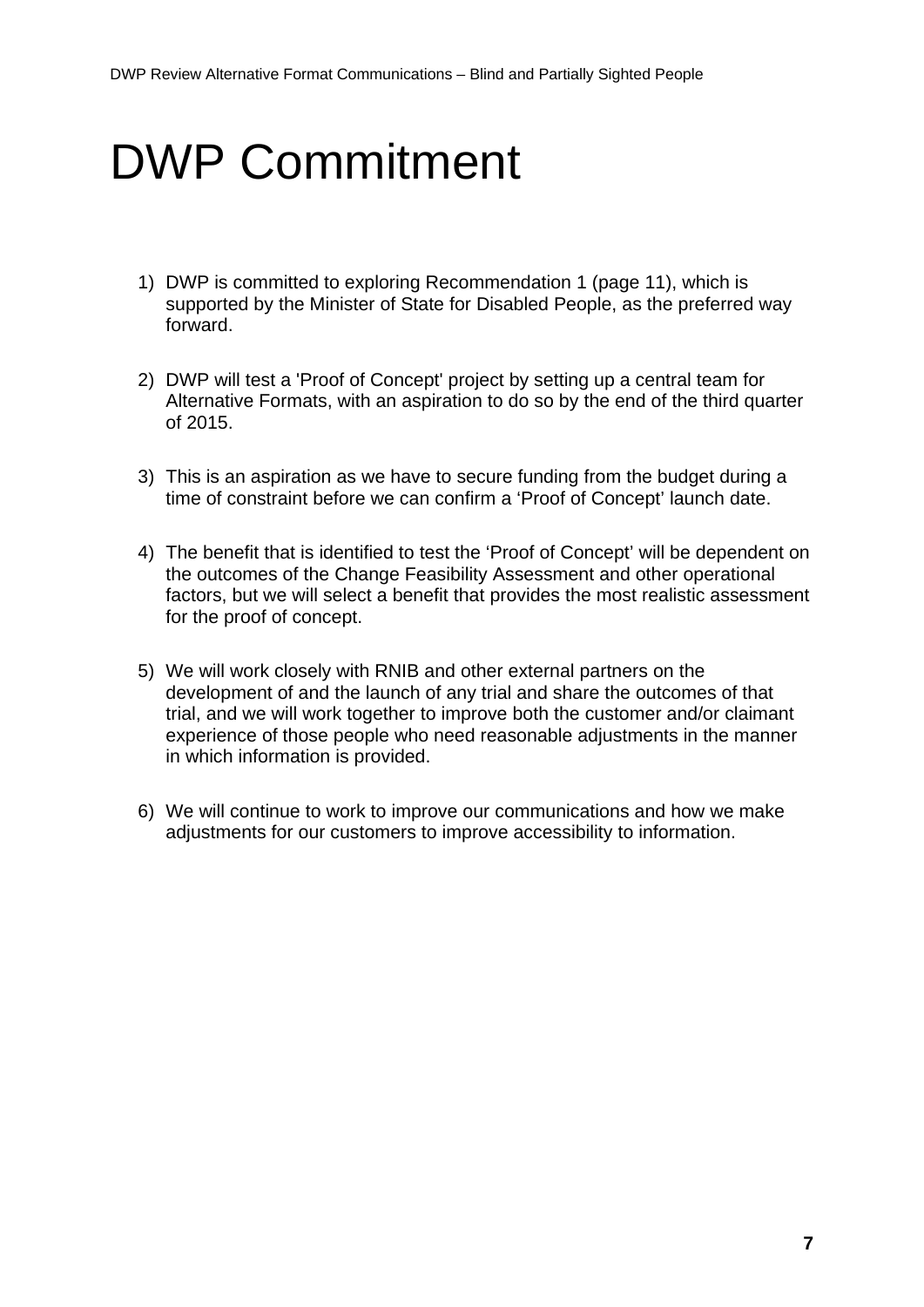## <span id="page-6-0"></span>DWP Commitment

- 1) DWP is committed to exploring Recommendation 1 (page 11), which is supported by the Minister of State for Disabled People, as the preferred way forward.
- 2) DWP will test a 'Proof of Concept' project by setting up a central team for Alternative Formats, with an aspiration to do so by the end of the third quarter of 2015.
- 3) This is an aspiration as we have to secure funding from the budget during a time of constraint before we can confirm a 'Proof of Concept' launch date.
- 4) The benefit that is identified to test the 'Proof of Concept' will be dependent on the outcomes of the Change Feasibility Assessment and other operational factors, but we will select a benefit that provides the most realistic assessment for the proof of concept.
- 5) We will work closely with RNIB and other external partners on the development of and the launch of any trial and share the outcomes of that trial, and we will work together to improve both the customer and/or claimant experience of those people who need reasonable adjustments in the manner in which information is provided.
- 6) We will continue to work to improve our communications and how we make adjustments for our customers to improve accessibility to information.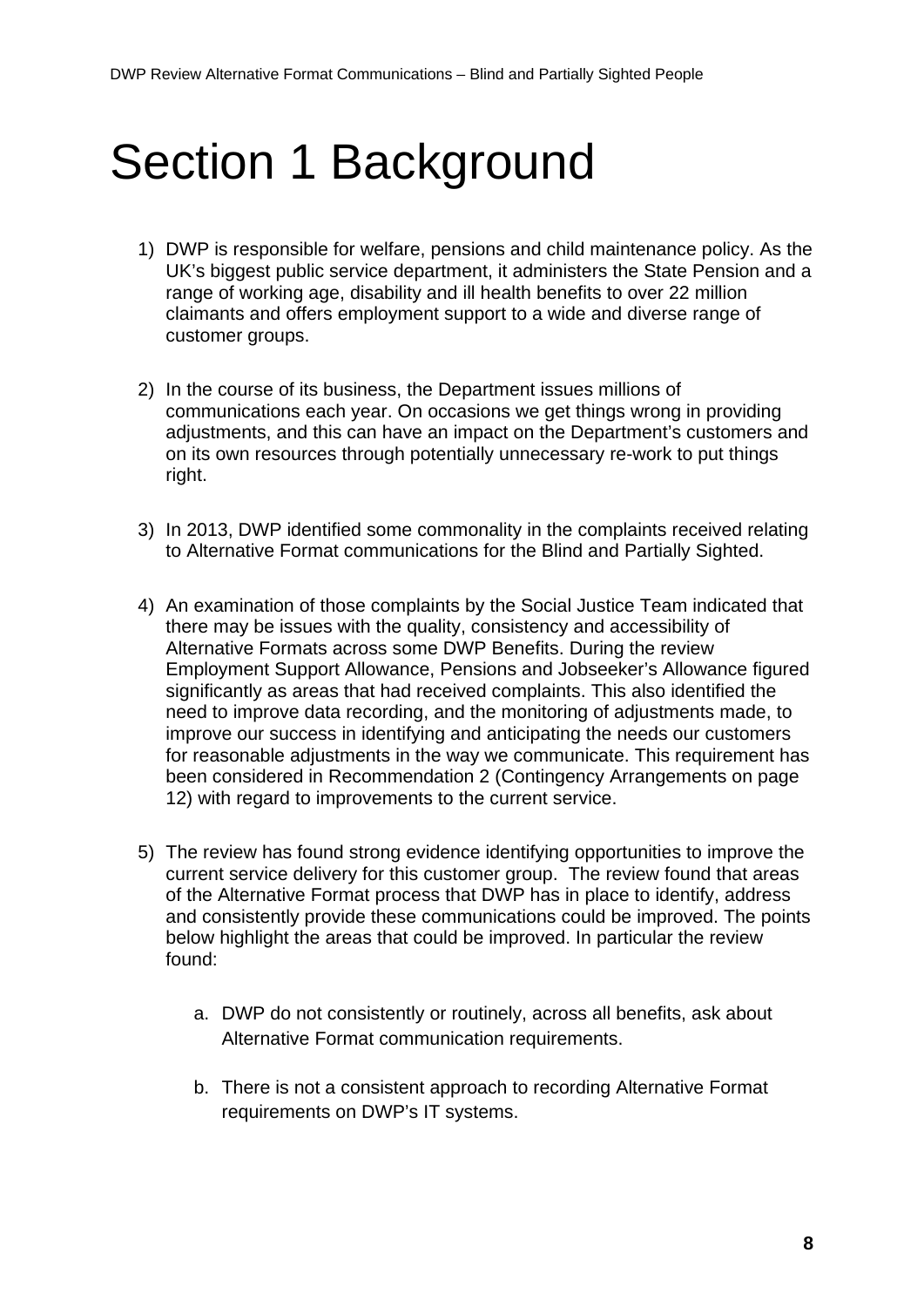## <span id="page-7-0"></span>Section 1 Background

- 1) DWP is responsible for welfare, pensions and child maintenance policy. As the UK's biggest public service department, it administers the State Pension and a range of working age, disability and ill health benefits to over 22 million claimants and offers employment support to a wide and diverse range of customer groups.
- 2) In the course of its business, the Department issues millions of communications each year. On occasions we get things wrong in providing adjustments, and this can have an impact on the Department's customers and on its own resources through potentially unnecessary re-work to put things right.
- 3) In 2013, DWP identified some commonality in the complaints received relating to Alternative Format communications for the Blind and Partially Sighted.
- 4) An examination of those complaints by the Social Justice Team indicated that there may be issues with the quality, consistency and accessibility of Alternative Formats across some DWP Benefits. During the review Employment Support Allowance, Pensions and Jobseeker's Allowance figured significantly as areas that had received complaints. This also identified the need to improve data recording, and the monitoring of adjustments made, to improve our success in identifying and anticipating the needs our customers for reasonable adjustments in the way we communicate. This requirement has been considered in Recommendation 2 (Contingency Arrangements on page 12) with regard to improvements to the current service.
- 5) The review has found strong evidence identifying opportunities to improve the current service delivery for this customer group. The review found that areas of the Alternative Format process that DWP has in place to identify, address and consistently provide these communications could be improved. The points below highlight the areas that could be improved. In particular the review found:
	- a. DWP do not consistently or routinely, across all benefits, ask about Alternative Format communication requirements.
	- b. There is not a consistent approach to recording Alternative Format requirements on DWP's IT systems.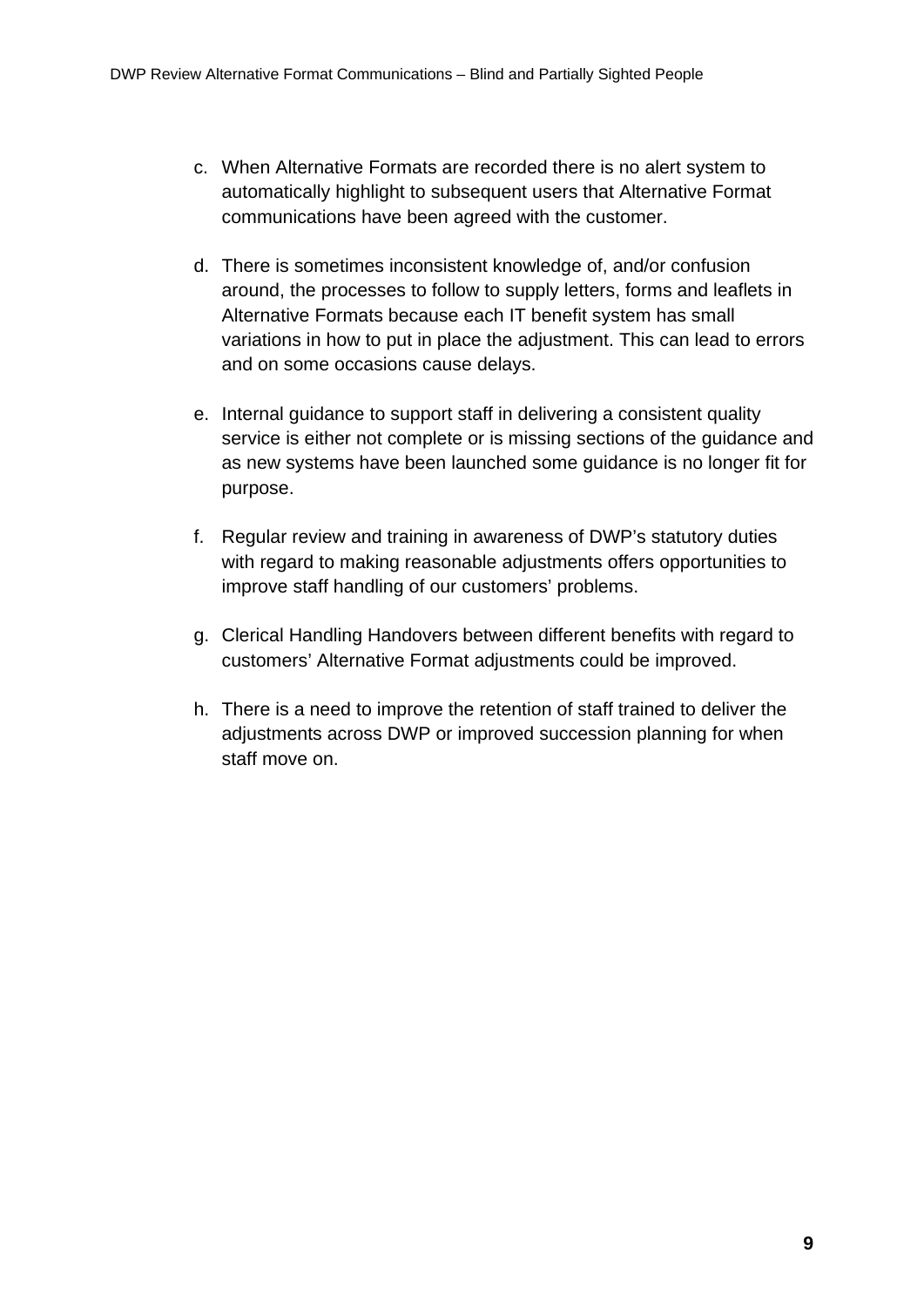- c. When Alternative Formats are recorded there is no alert system to automatically highlight to subsequent users that Alternative Format communications have been agreed with the customer.
- d. There is sometimes inconsistent knowledge of, and/or confusion around, the processes to follow to supply letters, forms and leaflets in Alternative Formats because each IT benefit system has small variations in how to put in place the adjustment. This can lead to errors and on some occasions cause delays.
- e. Internal guidance to support staff in delivering a consistent quality service is either not complete or is missing sections of the guidance and as new systems have been launched some guidance is no longer fit for purpose.
- f. Regular review and training in awareness of DWP's statutory duties with regard to making reasonable adjustments offers opportunities to improve staff handling of our customers' problems.
- g. Clerical Handling Handovers between different benefits with regard to customers' Alternative Format adjustments could be improved.
- h. There is a need to improve the retention of staff trained to deliver the adjustments across DWP or improved succession planning for when staff move on.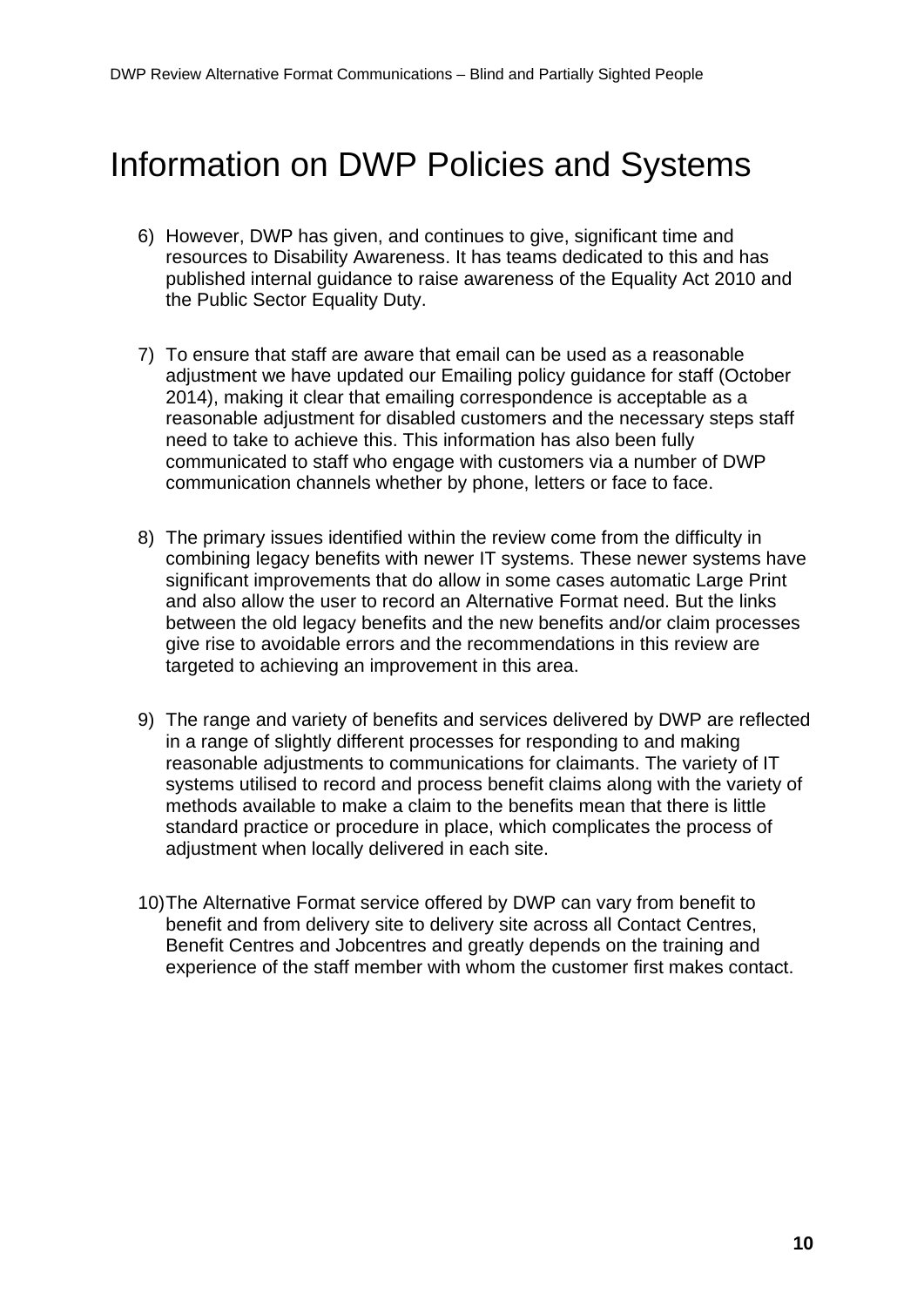## Information on DWP Policies and Systems

- 6) However, DWP has given, and continues to give, significant time and resources to Disability Awareness. It has teams dedicated to this and has published internal guidance to raise awareness of the Equality Act 2010 and the Public Sector Equality Duty.
- 7) To ensure that staff are aware that email can be used as a reasonable adjustment we have updated our Emailing policy guidance for staff (October 2014), making it clear that emailing correspondence is acceptable as a reasonable adjustment for disabled customers and the necessary steps staff need to take to achieve this. This information has also been fully communicated to staff who engage with customers via a number of DWP communication channels whether by phone, letters or face to face.
- 8) The primary issues identified within the review come from the difficulty in combining legacy benefits with newer IT systems. These newer systems have significant improvements that do allow in some cases automatic Large Print and also allow the user to record an Alternative Format need. But the links between the old legacy benefits and the new benefits and/or claim processes give rise to avoidable errors and the recommendations in this review are targeted to achieving an improvement in this area.
- 9) The range and variety of benefits and services delivered by DWP are reflected in a range of slightly different processes for responding to and making reasonable adjustments to communications for claimants. The variety of IT systems utilised to record and process benefit claims along with the variety of methods available to make a claim to the benefits mean that there is little standard practice or procedure in place, which complicates the process of adjustment when locally delivered in each site.
- 10)The Alternative Format service offered by DWP can vary from benefit to benefit and from delivery site to delivery site across all Contact Centres, Benefit Centres and Jobcentres and greatly depends on the training and experience of the staff member with whom the customer first makes contact.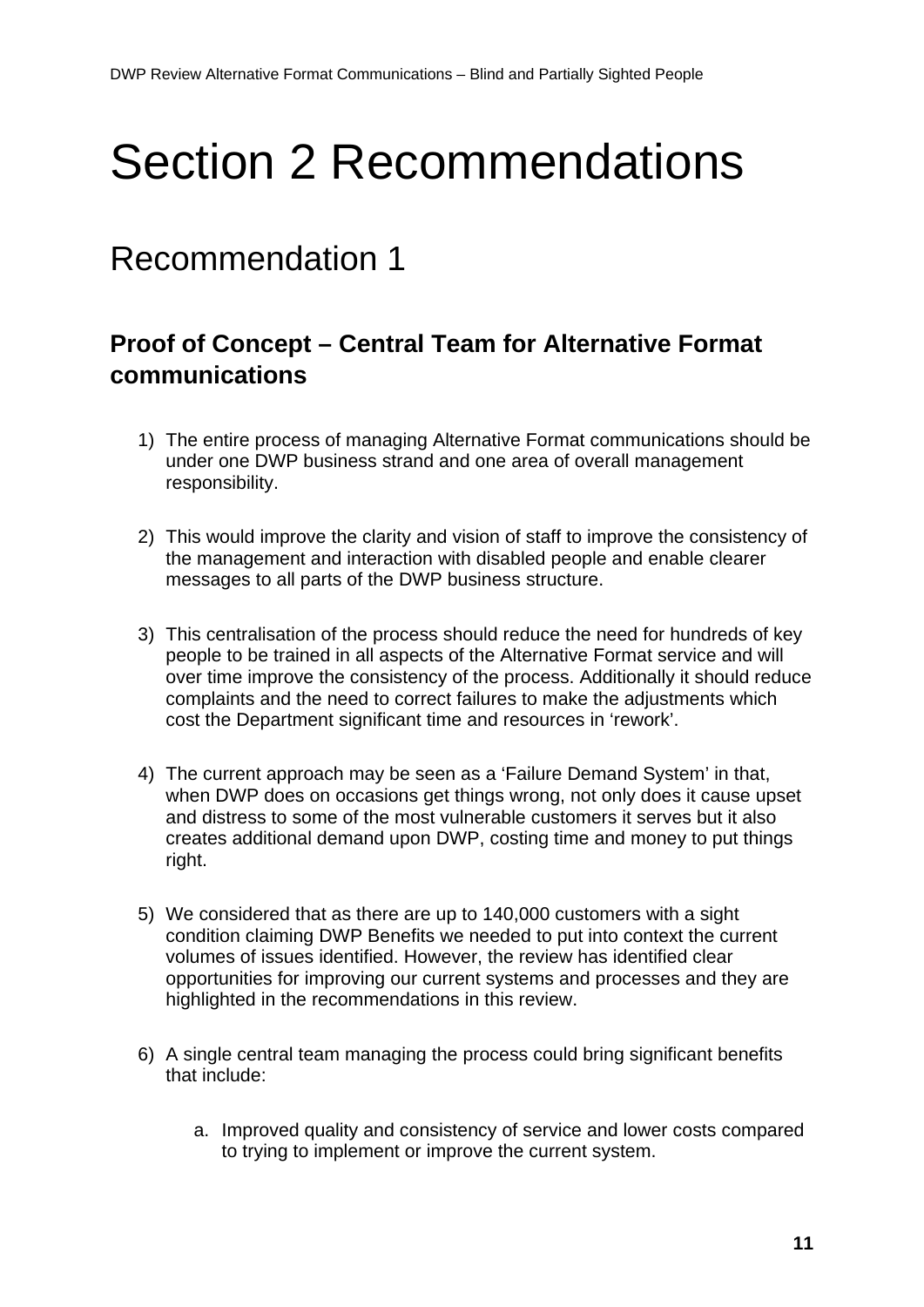# <span id="page-10-0"></span>Section 2 Recommendations

### Recommendation 1

### **Proof of Concept – Central Team for Alternative Format communications**

- 1) The entire process of managing Alternative Format communications should be under one DWP business strand and one area of overall management responsibility.
- 2) This would improve the clarity and vision of staff to improve the consistency of the management and interaction with disabled people and enable clearer messages to all parts of the DWP business structure.
- 3) This centralisation of the process should reduce the need for hundreds of key people to be trained in all aspects of the Alternative Format service and will over time improve the consistency of the process. Additionally it should reduce complaints and the need to correct failures to make the adjustments which cost the Department significant time and resources in 'rework'.
- 4) The current approach may be seen as a 'Failure Demand System' in that, when DWP does on occasions get things wrong, not only does it cause upset and distress to some of the most vulnerable customers it serves but it also creates additional demand upon DWP, costing time and money to put things right.
- 5) We considered that as there are up to 140,000 customers with a sight condition claiming DWP Benefits we needed to put into context the current volumes of issues identified. However, the review has identified clear opportunities for improving our current systems and processes and they are highlighted in the recommendations in this review.
- 6) A single central team managing the process could bring significant benefits that include:
	- a. Improved quality and consistency of service and lower costs compared to trying to implement or improve the current system.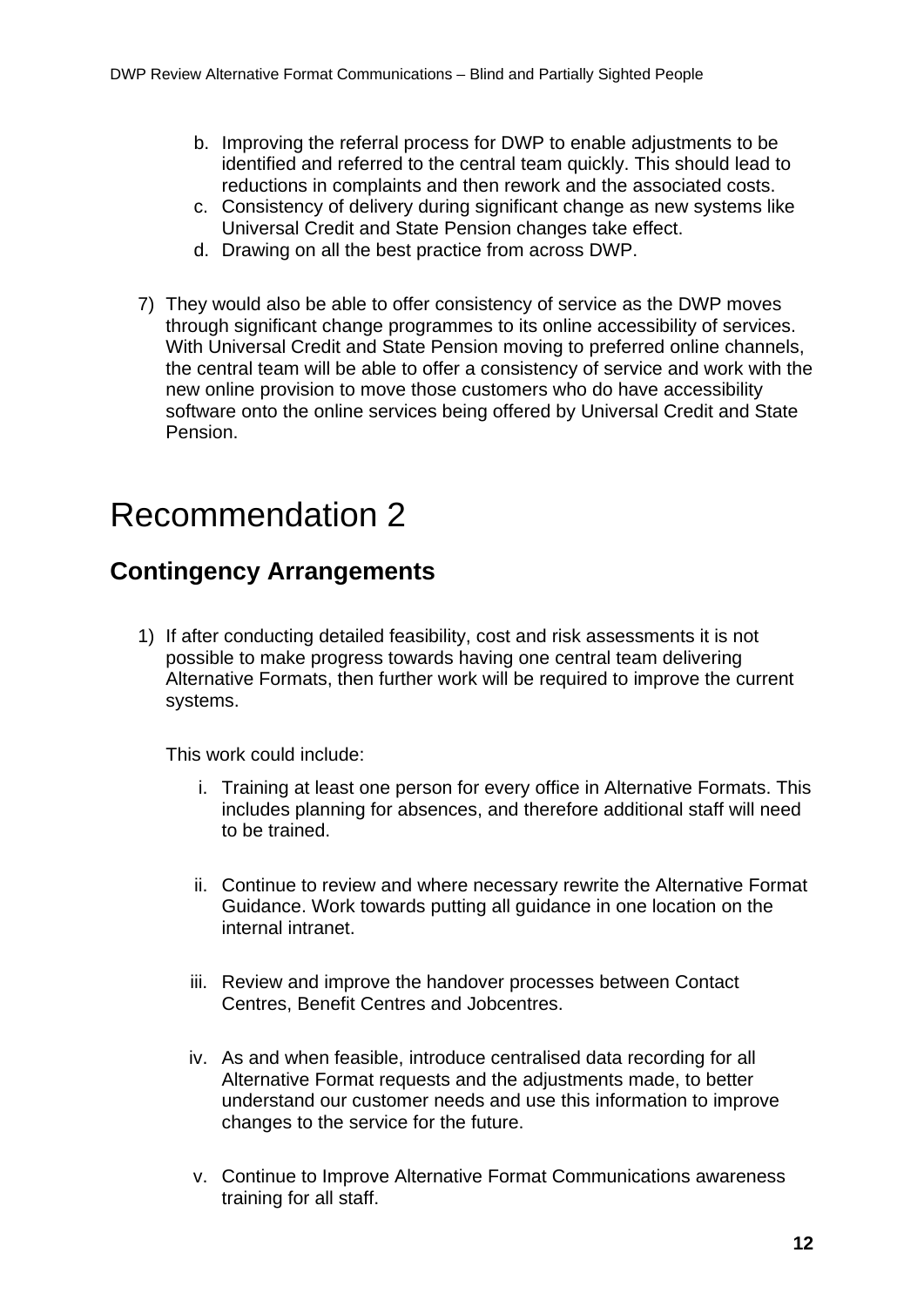- b. Improving the referral process for DWP to enable adjustments to be identified and referred to the central team quickly. This should lead to reductions in complaints and then rework and the associated costs.
- c. Consistency of delivery during significant change as new systems like Universal Credit and State Pension changes take effect.
- d. Drawing on all the best practice from across DWP.
- 7) They would also be able to offer consistency of service as the DWP moves through significant change programmes to its online accessibility of services. With Universal Credit and State Pension moving to preferred online channels, the central team will be able to offer a consistency of service and work with the new online provision to move those customers who do have accessibility software onto the online services being offered by Universal Credit and State Pension.

### Recommendation 2

#### **Contingency Arrangements**

1) If after conducting detailed feasibility, cost and risk assessments it is not possible to make progress towards having one central team delivering Alternative Formats, then further work will be required to improve the current systems.

This work could include:

- i. Training at least one person for every office in Alternative Formats. This includes planning for absences, and therefore additional staff will need to be trained.
- ii. Continue to review and where necessary rewrite the Alternative Format Guidance. Work towards putting all guidance in one location on the internal intranet.
- iii. Review and improve the handover processes between Contact Centres, Benefit Centres and Jobcentres.
- iv. As and when feasible, introduce centralised data recording for all Alternative Format requests and the adjustments made, to better understand our customer needs and use this information to improve changes to the service for the future.
- v. Continue to Improve Alternative Format Communications awareness training for all staff.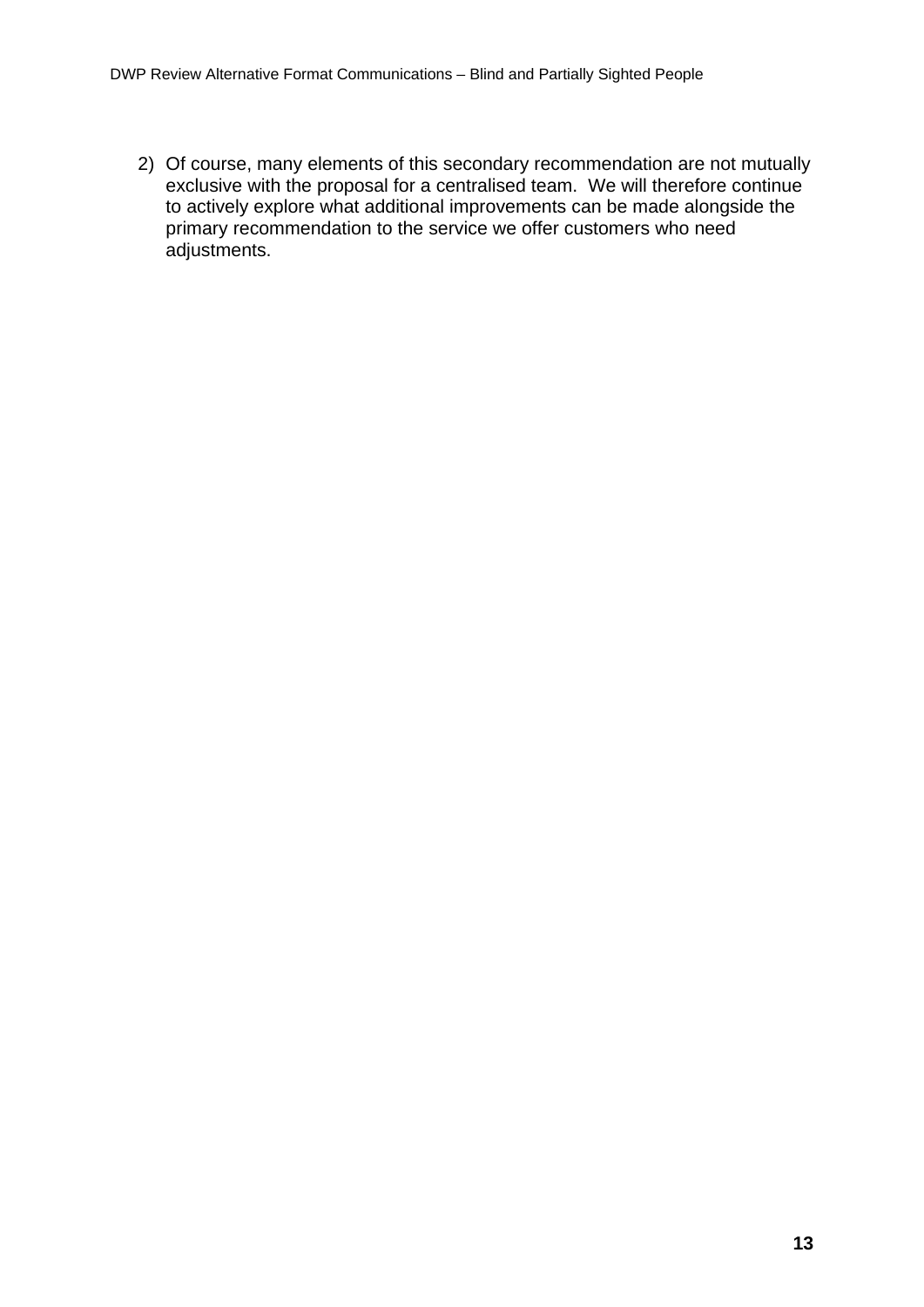2) Of course, many elements of this secondary recommendation are not mutually exclusive with the proposal for a centralised team. We will therefore continue to actively explore what additional improvements can be made alongside the primary recommendation to the service we offer customers who need adjustments.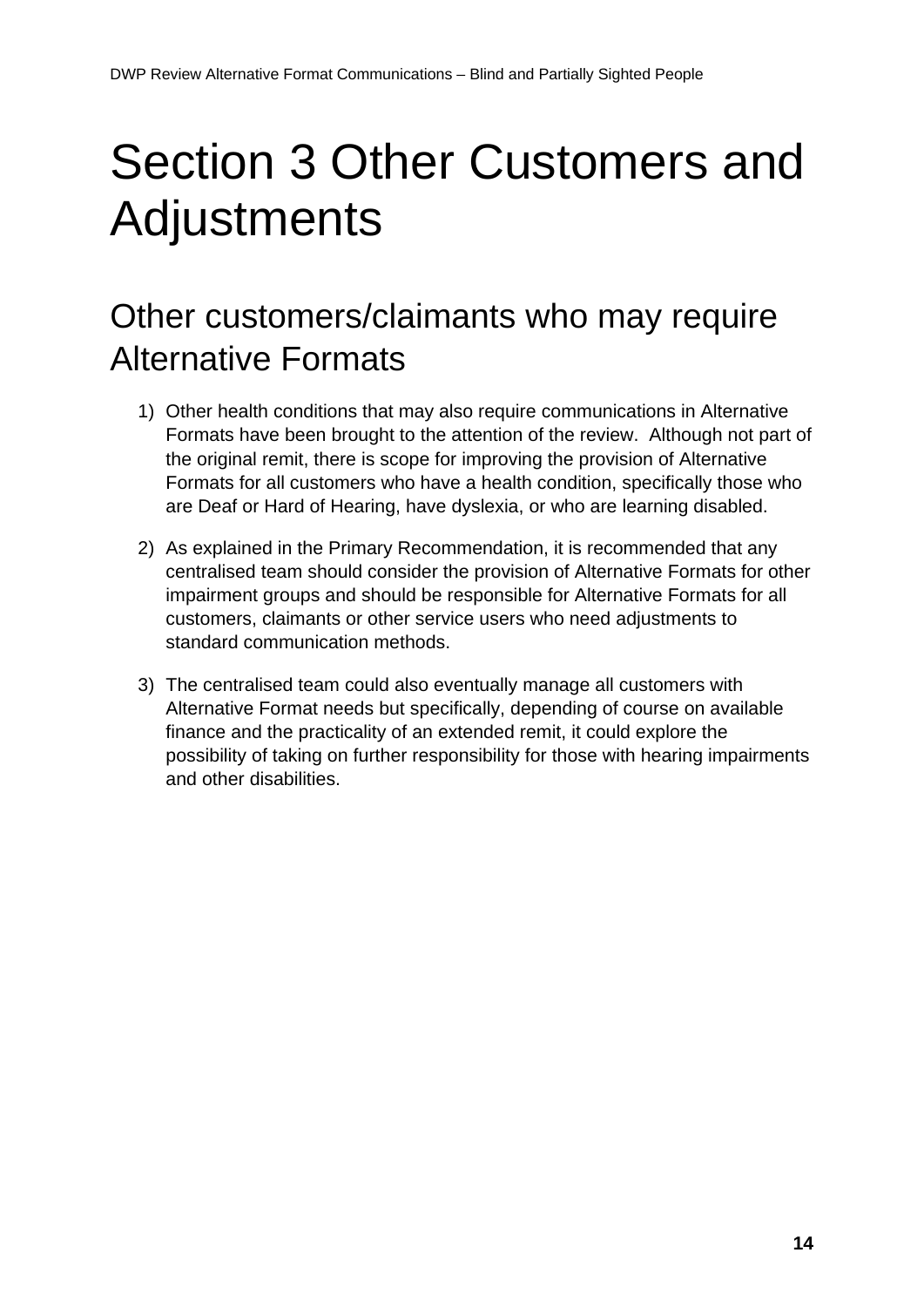# <span id="page-13-0"></span>Section 3 Other Customers and Adjustments

## Other customers/claimants who may require Alternative Formats

- 1) Other health conditions that may also require communications in Alternative Formats have been brought to the attention of the review. Although not part of the original remit, there is scope for improving the provision of Alternative Formats for all customers who have a health condition, specifically those who are Deaf or Hard of Hearing, have dyslexia, or who are learning disabled.
- 2) As explained in the Primary Recommendation, it is recommended that any centralised team should consider the provision of Alternative Formats for other impairment groups and should be responsible for Alternative Formats for all customers, claimants or other service users who need adjustments to standard communication methods.
- 3) The centralised team could also eventually manage all customers with Alternative Format needs but specifically, depending of course on available finance and the practicality of an extended remit, it could explore the possibility of taking on further responsibility for those with hearing impairments and other disabilities.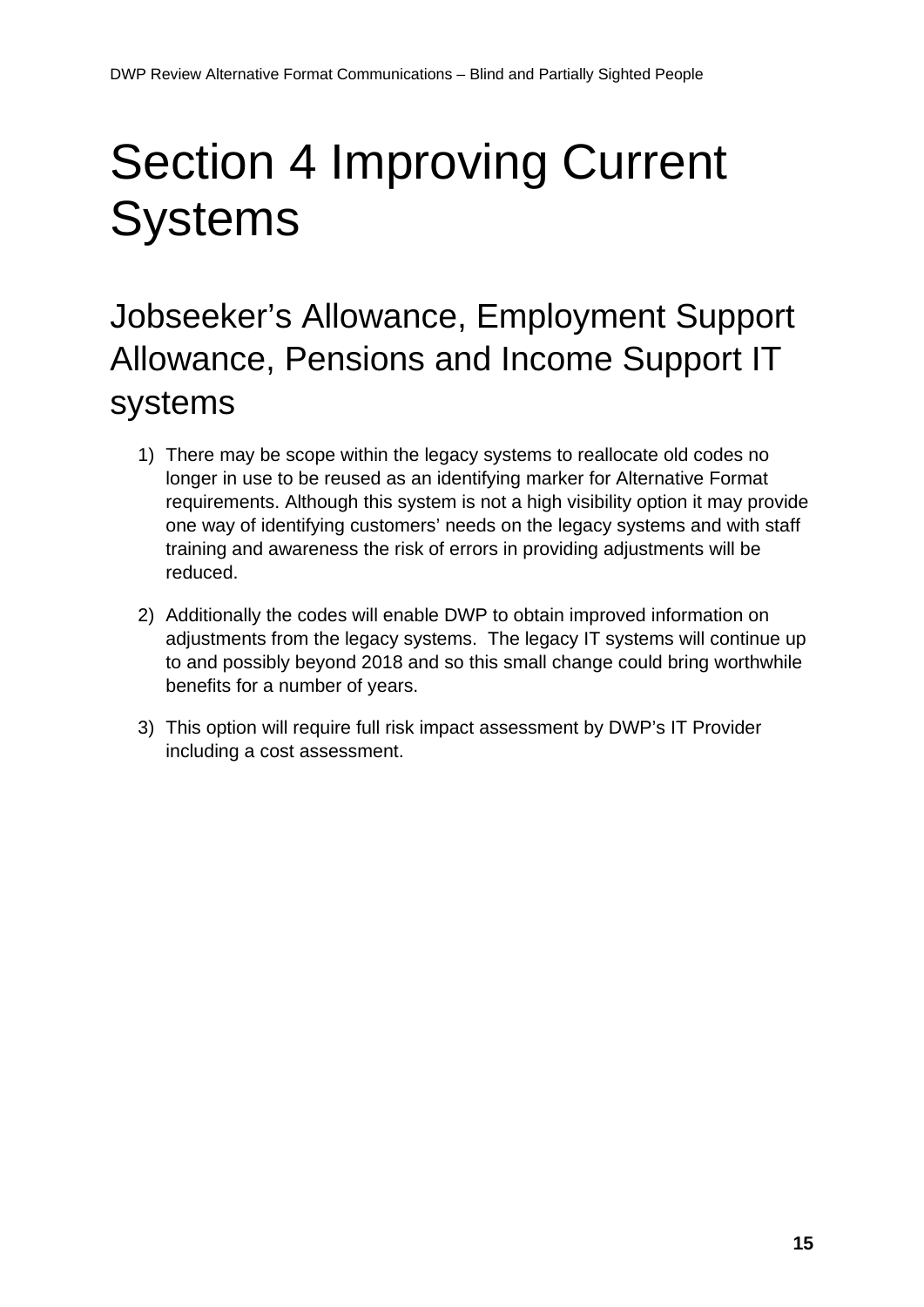# <span id="page-14-0"></span>Section 4 Improving Current **Systems**

## Jobseeker's Allowance, Employment Support Allowance, Pensions and Income Support IT systems

- 1) There may be scope within the legacy systems to reallocate old codes no longer in use to be reused as an identifying marker for Alternative Format requirements. Although this system is not a high visibility option it may provide one way of identifying customers' needs on the legacy systems and with staff training and awareness the risk of errors in providing adjustments will be reduced.
- 2) Additionally the codes will enable DWP to obtain improved information on adjustments from the legacy systems. The legacy IT systems will continue up to and possibly beyond 2018 and so this small change could bring worthwhile benefits for a number of years.
- 3) This option will require full risk impact assessment by DWP's IT Provider including a cost assessment.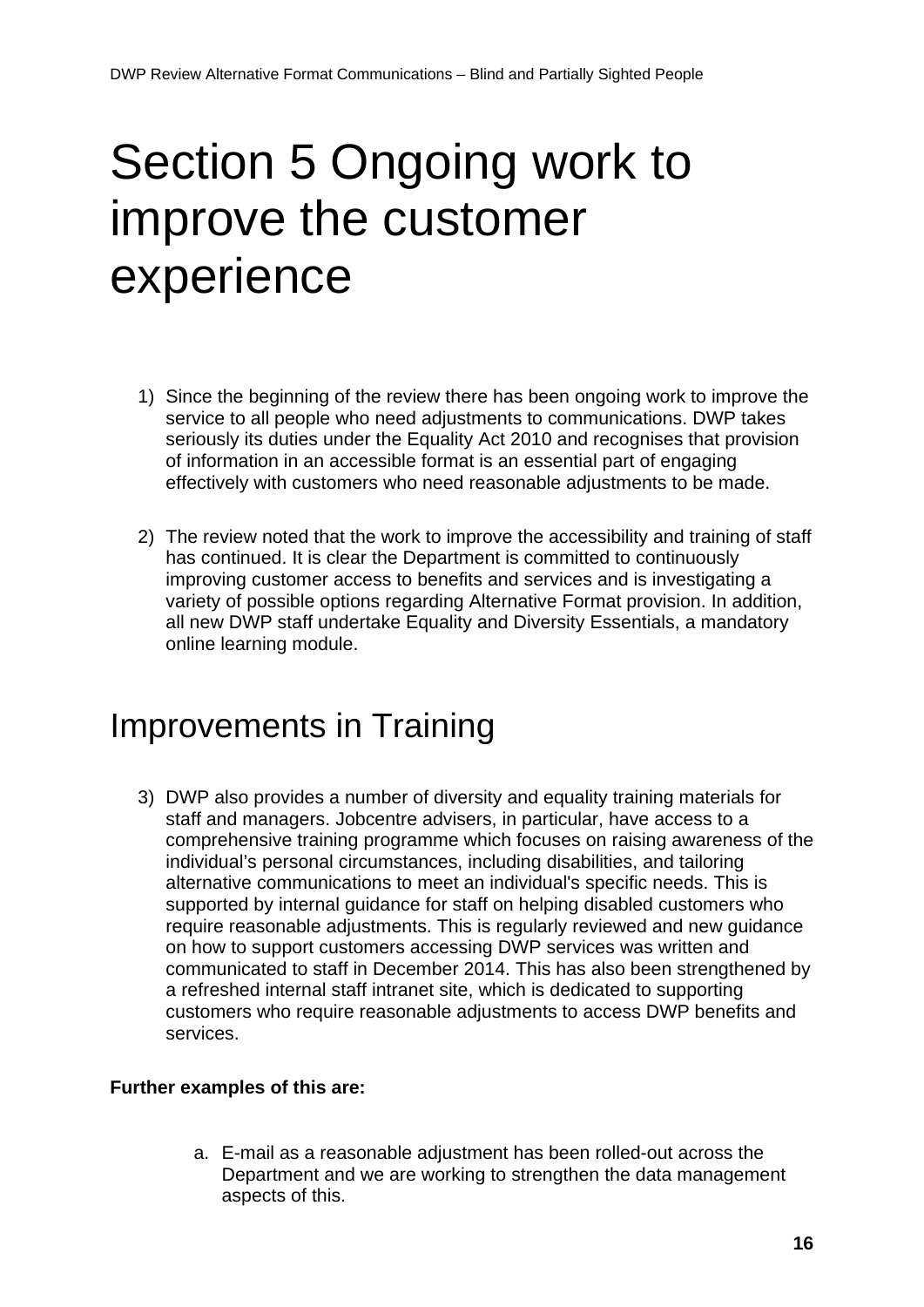## <span id="page-15-0"></span>Section 5 Ongoing work to improve the customer experience

- 1) Since the beginning of the review there has been ongoing work to improve the service to all people who need adjustments to communications. DWP takes seriously its duties under the Equality Act 2010 and recognises that provision of information in an accessible format is an essential part of engaging effectively with customers who need reasonable adjustments to be made.
- 2) The review noted that the work to improve the accessibility and training of staff has continued. It is clear the Department is committed to continuously improving customer access to benefits and services and is investigating a variety of possible options regarding Alternative Format provision. In addition, all new DWP staff undertake Equality and Diversity Essentials, a mandatory online learning module.

### Improvements in Training

3) DWP also provides a number of diversity and equality training materials for staff and managers. Jobcentre advisers, in particular, have access to a comprehensive training programme which focuses on raising awareness of the individual's personal circumstances, including disabilities, and tailoring alternative communications to meet an individual's specific needs. This is supported by internal guidance for staff on helping disabled customers who require reasonable adjustments. This is regularly reviewed and new guidance on how to support customers accessing DWP services was written and communicated to staff in December 2014. This has also been strengthened by a refreshed internal staff intranet site, which is dedicated to supporting customers who require reasonable adjustments to access DWP benefits and services.

#### **Further examples of this are:**

a. E-mail as a reasonable adjustment has been rolled-out across the Department and we are working to strengthen the data management aspects of this.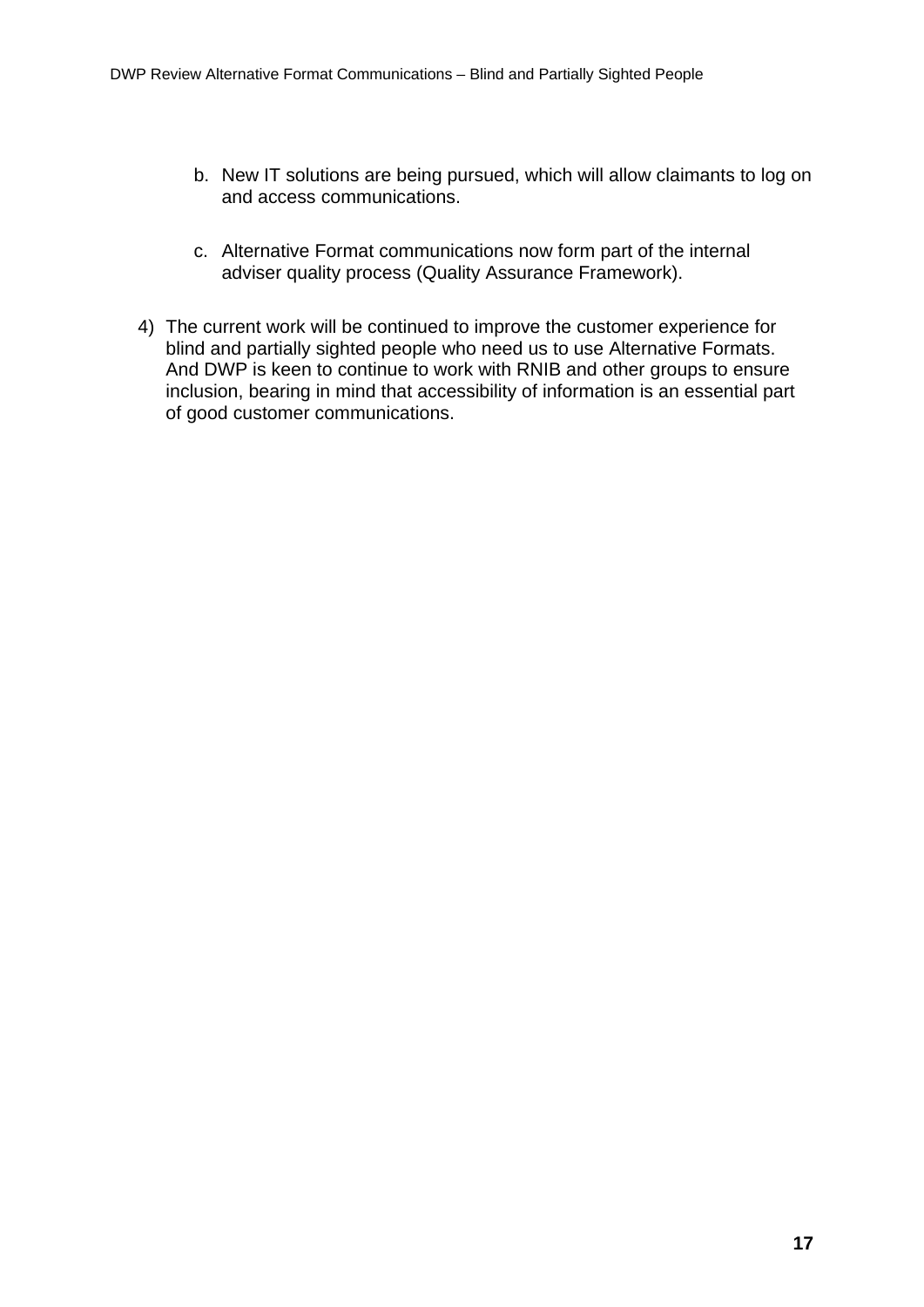- b. New IT solutions are being pursued, which will allow claimants to log on and access communications.
- c. Alternative Format communications now form part of the internal adviser quality process (Quality Assurance Framework).
- 4) The current work will be continued to improve the customer experience for blind and partially sighted people who need us to use Alternative Formats. And DWP is keen to continue to work with RNIB and other groups to ensure inclusion, bearing in mind that accessibility of information is an essential part of good customer communications.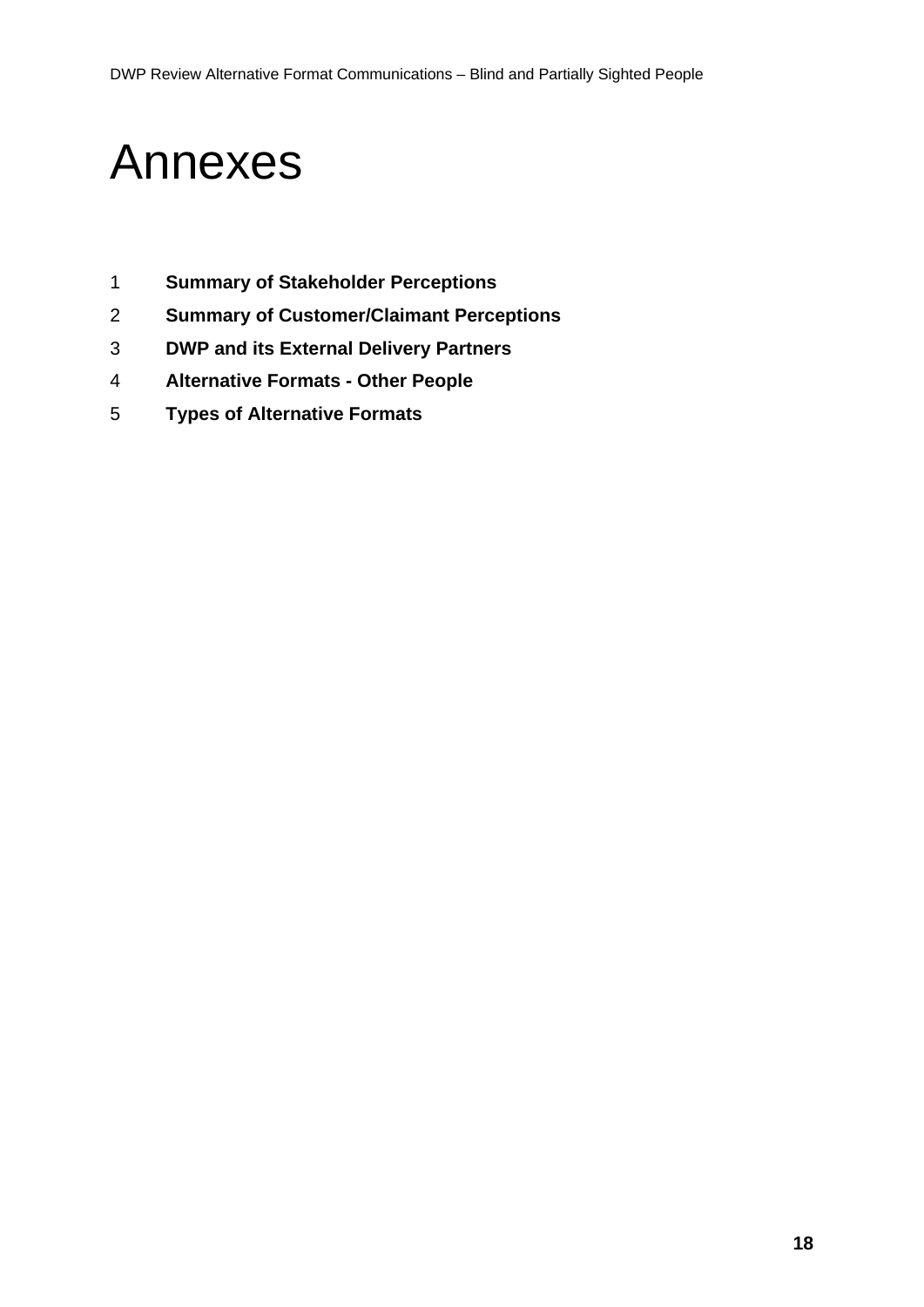## <span id="page-17-0"></span>Annexes

- **Summary of Stakeholder Perceptions**
- **Summary of Customer/Claimant Perceptions**
- **DWP and its External Delivery Partners**
- **Alternative Formats - Other People**
- **Types of Alternative Formats**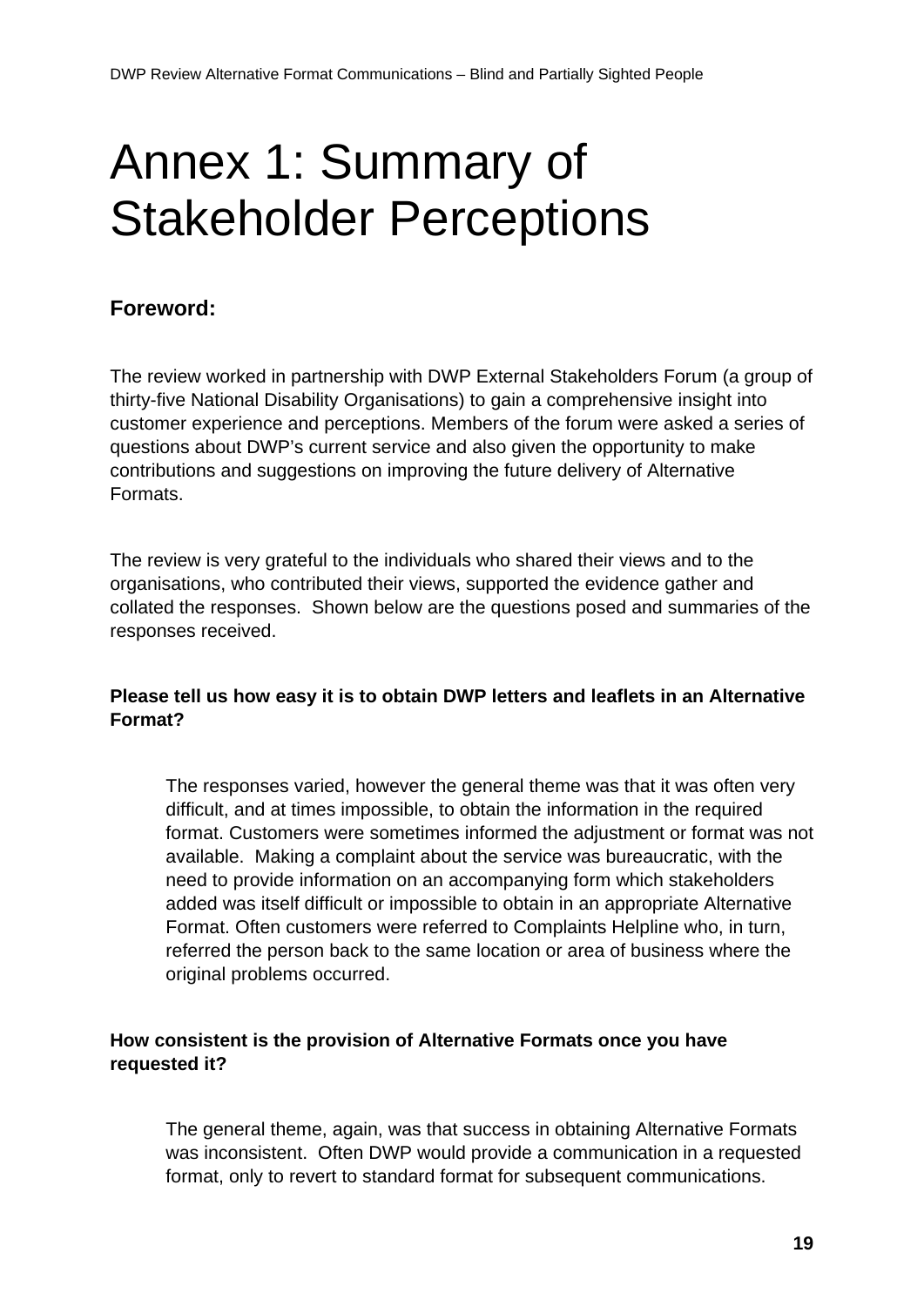# <span id="page-18-0"></span>Annex 1: Summary of Stakeholder Perceptions

#### **Foreword:**

The review worked in partnership with DWP External Stakeholders Forum (a group of thirty-five National Disability Organisations) to gain a comprehensive insight into customer experience and perceptions. Members of the forum were asked a series of questions about DWP's current service and also given the opportunity to make contributions and suggestions on improving the future delivery of Alternative Formats.

The review is very grateful to the individuals who shared their views and to the organisations, who contributed their views, supported the evidence gather and collated the responses. Shown below are the questions posed and summaries of the responses received.

#### **Please tell us how easy it is to obtain DWP letters and leaflets in an Alternative Format?**

The responses varied, however the general theme was that it was often very difficult, and at times impossible, to obtain the information in the required format. Customers were sometimes informed the adjustment or format was not available. Making a complaint about the service was bureaucratic, with the need to provide information on an accompanying form which stakeholders added was itself difficult or impossible to obtain in an appropriate Alternative Format. Often customers were referred to Complaints Helpline who, in turn, referred the person back to the same location or area of business where the original problems occurred.

#### **How consistent is the provision of Alternative Formats once you have requested it?**

The general theme, again, was that success in obtaining Alternative Formats was inconsistent. Often DWP would provide a communication in a requested format, only to revert to standard format for subsequent communications.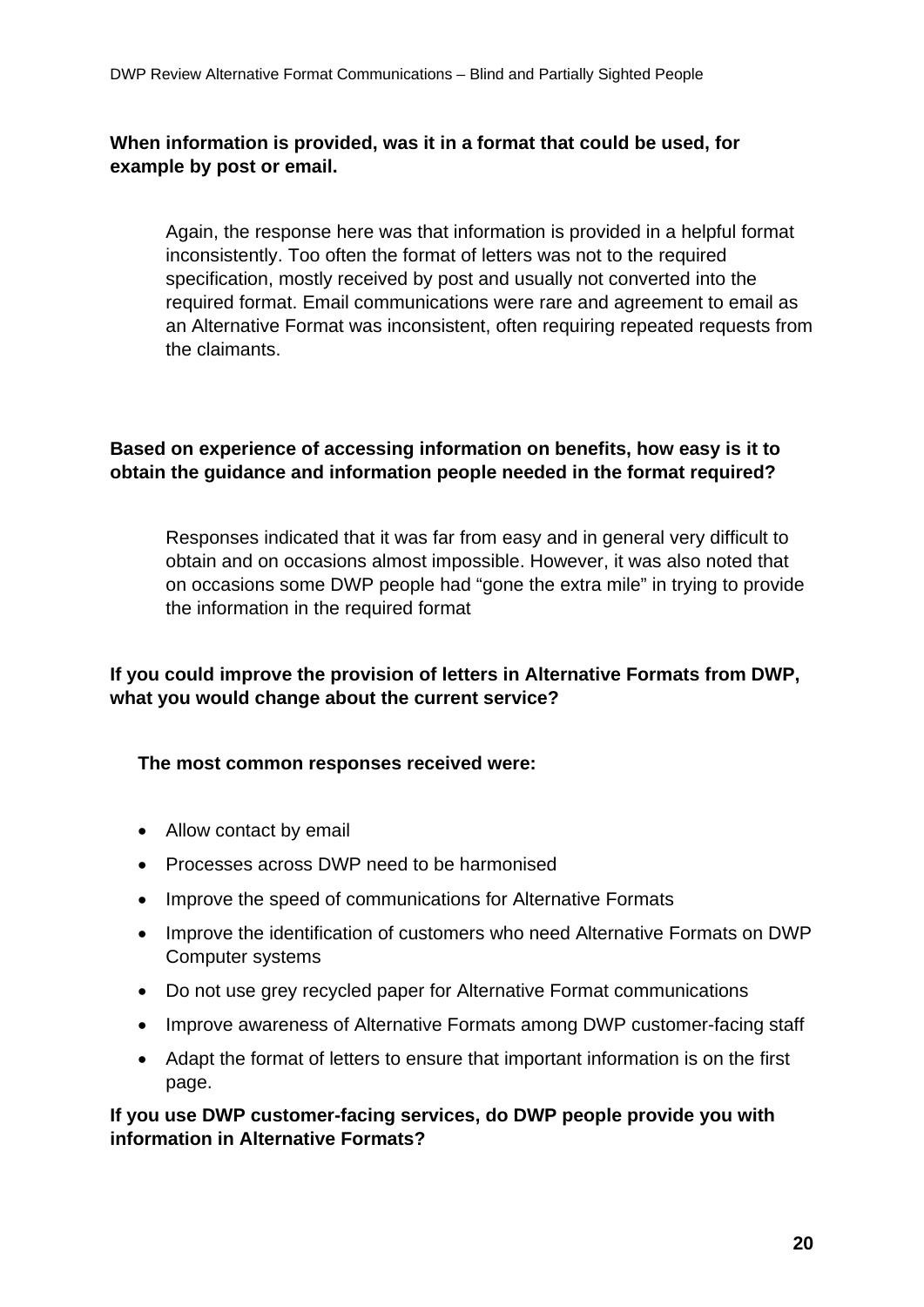#### **When information is provided, was it in a format that could be used, for example by post or email.**

Again, the response here was that information is provided in a helpful format inconsistently. Too often the format of letters was not to the required specification, mostly received by post and usually not converted into the required format. Email communications were rare and agreement to email as an Alternative Format was inconsistent, often requiring repeated requests from the claimants.

#### **Based on experience of accessing information on benefits, how easy is it to obtain the guidance and information people needed in the format required?**

Responses indicated that it was far from easy and in general very difficult to obtain and on occasions almost impossible. However, it was also noted that on occasions some DWP people had "gone the extra mile" in trying to provide the information in the required format

#### **If you could improve the provision of letters in Alternative Formats from DWP, what you would change about the current service?**

#### **The most common responses received were:**

- Allow contact by email
- Processes across DWP need to be harmonised
- Improve the speed of communications for Alternative Formats
- Improve the identification of customers who need Alternative Formats on DWP Computer systems
- Do not use grey recycled paper for Alternative Format communications
- Improve awareness of Alternative Formats among DWP customer-facing staff
- Adapt the format of letters to ensure that important information is on the first page.

**If you use DWP customer-facing services, do DWP people provide you with information in Alternative Formats?**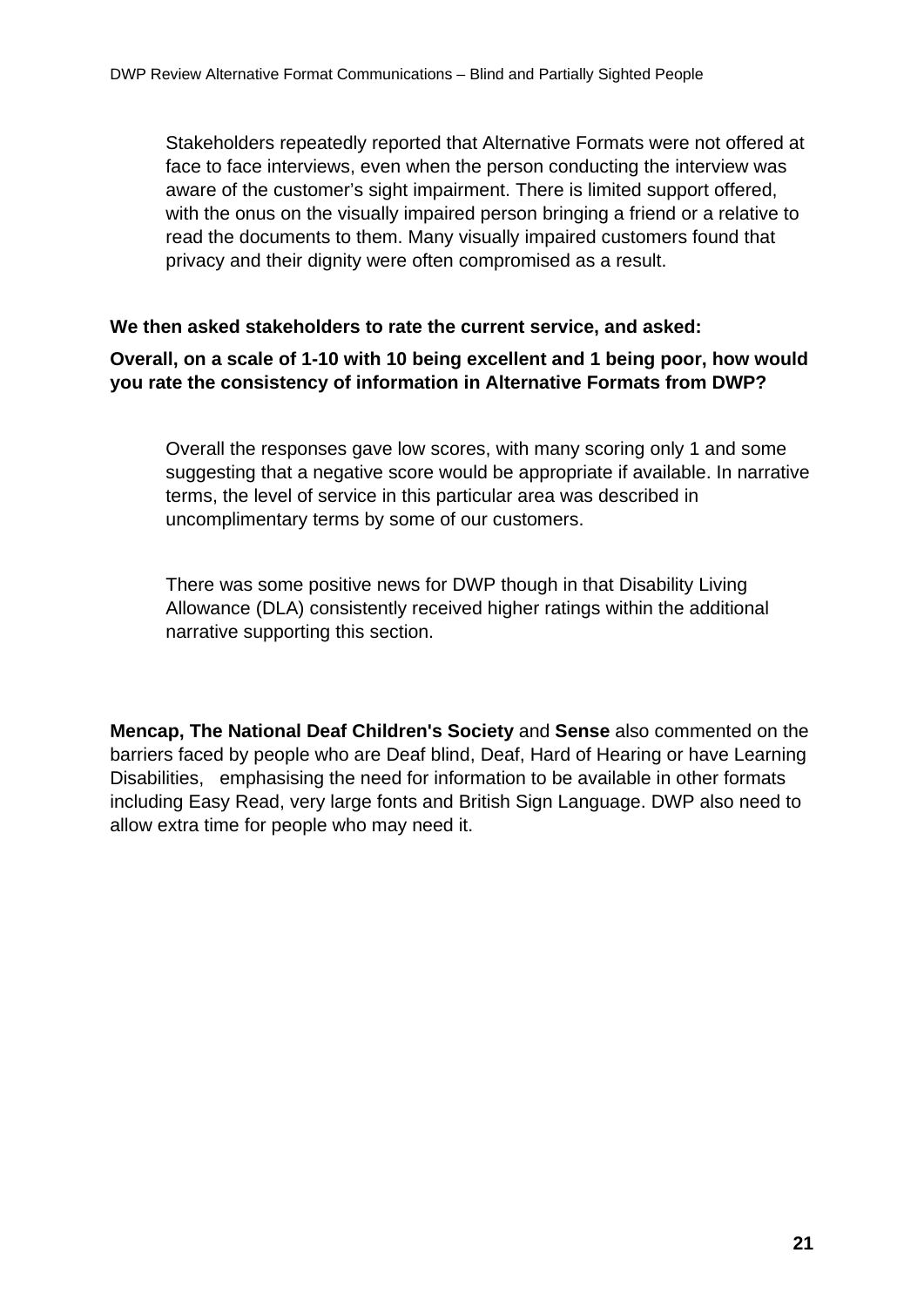Stakeholders repeatedly reported that Alternative Formats were not offered at face to face interviews, even when the person conducting the interview was aware of the customer's sight impairment. There is limited support offered, with the onus on the visually impaired person bringing a friend or a relative to read the documents to them. Many visually impaired customers found that privacy and their dignity were often compromised as a result.

#### **We then asked stakeholders to rate the current service, and asked:**

**Overall, on a scale of 1-10 with 10 being excellent and 1 being poor, how would you rate the consistency of information in Alternative Formats from DWP?** 

Overall the responses gave low scores, with many scoring only 1 and some suggesting that a negative score would be appropriate if available. In narrative terms, the level of service in this particular area was described in uncomplimentary terms by some of our customers.

There was some positive news for DWP though in that Disability Living Allowance (DLA) consistently received higher ratings within the additional narrative supporting this section.

**Mencap, The National Deaf Children's Society** and **Sense** also commented on the barriers faced by people who are Deaf blind, Deaf, Hard of Hearing or have Learning Disabilities, emphasising the need for information to be available in other formats including Easy Read, very large fonts and British Sign Language. DWP also need to allow extra time for people who may need it.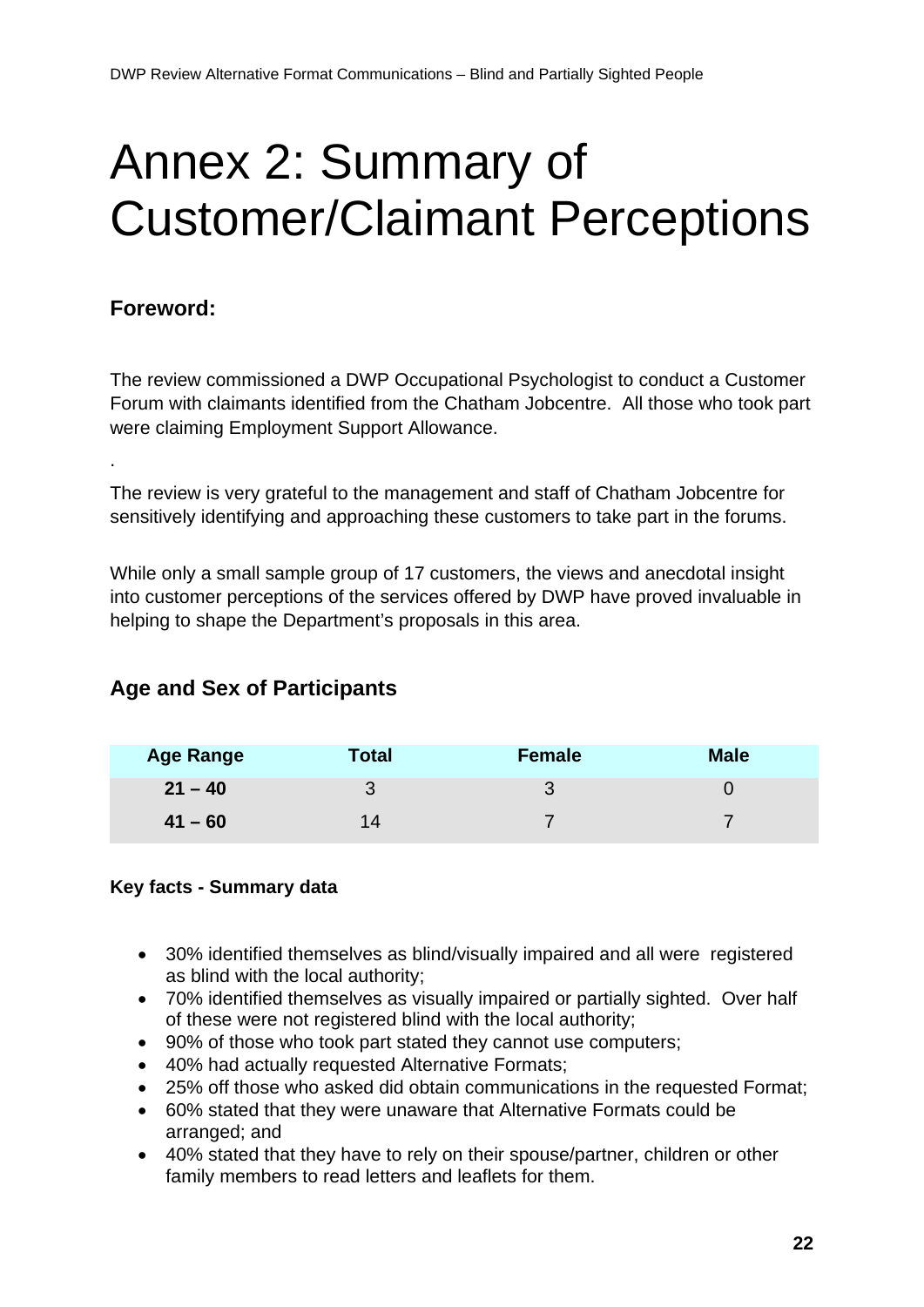# <span id="page-21-0"></span>Annex 2: Summary of Customer/Claimant Perceptions

#### **Foreword:**

.

The review commissioned a DWP Occupational Psychologist to conduct a Customer Forum with claimants identified from the Chatham Jobcentre. All those who took part were claiming Employment Support Allowance.

The review is very grateful to the management and staff of Chatham Jobcentre for sensitively identifying and approaching these customers to take part in the forums.

While only a small sample group of 17 customers, the views and anecdotal insight into customer perceptions of the services offered by DWP have proved invaluable in helping to shape the Department's proposals in this area.

#### **Age and Sex of Participants**

| <b>Age Range</b> | <b>Total</b> | Female | <b>Male</b> |
|------------------|--------------|--------|-------------|
| $21 - 40$        |              |        |             |
| $41 - 60$        | 14           |        |             |

#### **Key facts - Summary data**

- 30% identified themselves as blind/visually impaired and all were registered as blind with the local authority;
- 70% identified themselves as visually impaired or partially sighted. Over half of these were not registered blind with the local authority;
- 90% of those who took part stated they cannot use computers;
- 40% had actually requested Alternative Formats;
- 25% off those who asked did obtain communications in the requested Format;
- 60% stated that they were unaware that Alternative Formats could be arranged; and
- 40% stated that they have to rely on their spouse/partner, children or other family members to read letters and leaflets for them.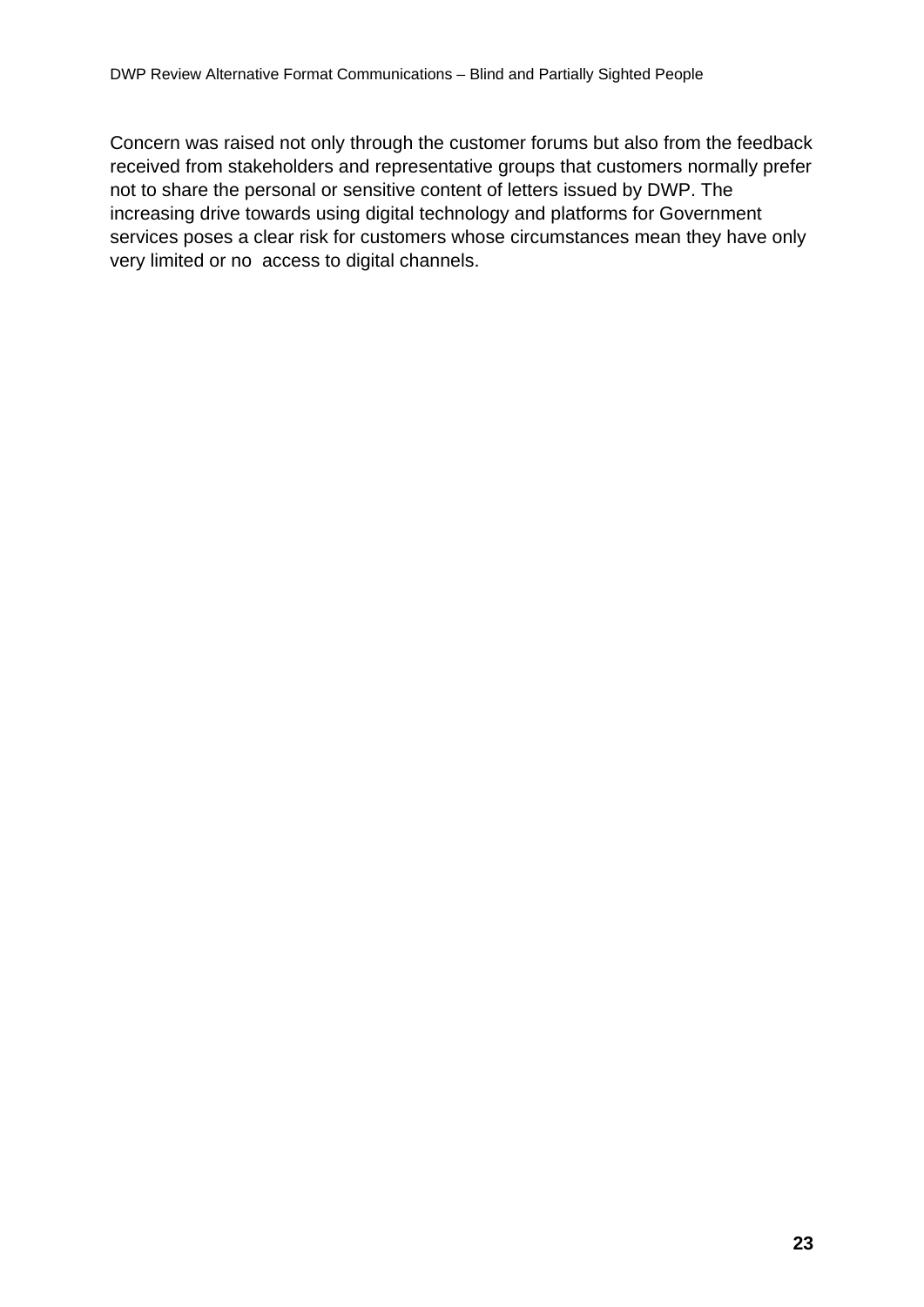Concern was raised not only through the customer forums but also from the feedback received from stakeholders and representative groups that customers normally prefer not to share the personal or sensitive content of letters issued by DWP. The increasing drive towards using digital technology and platforms for Government services poses a clear risk for customers whose circumstances mean they have only very limited or no access to digital channels.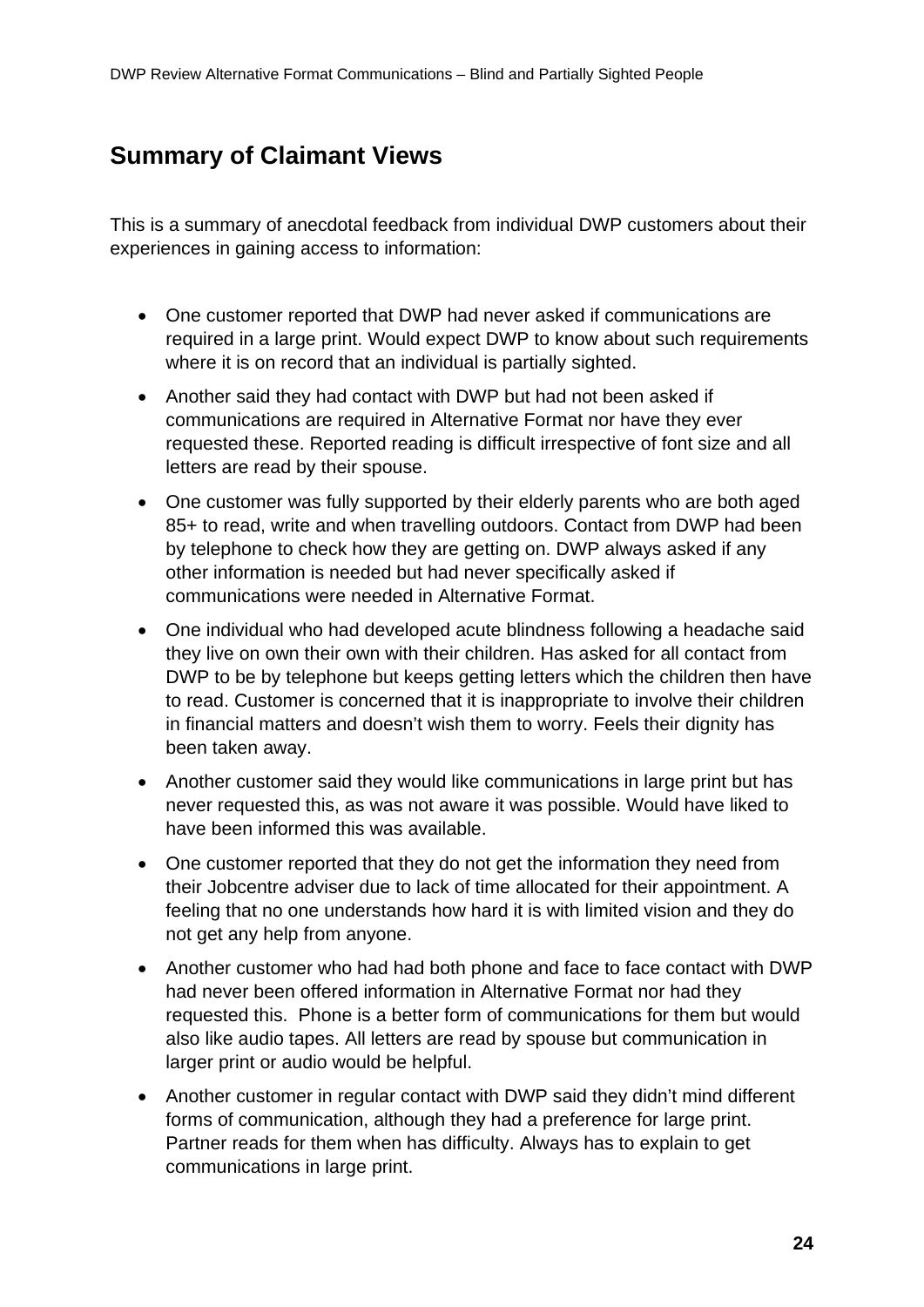### **Summary of Claimant Views**

This is a summary of anecdotal feedback from individual DWP customers about their experiences in gaining access to information:

- One customer reported that DWP had never asked if communications are required in a large print. Would expect DWP to know about such requirements where it is on record that an individual is partially sighted.
- Another said they had contact with DWP but had not been asked if communications are required in Alternative Format nor have they ever requested these. Reported reading is difficult irrespective of font size and all letters are read by their spouse.
- One customer was fully supported by their elderly parents who are both aged 85+ to read, write and when travelling outdoors. Contact from DWP had been by telephone to check how they are getting on. DWP always asked if any other information is needed but had never specifically asked if communications were needed in Alternative Format.
- One individual who had developed acute blindness following a headache said they live on own their own with their children. Has asked for all contact from DWP to be by telephone but keeps getting letters which the children then have to read. Customer is concerned that it is inappropriate to involve their children in financial matters and doesn't wish them to worry. Feels their dignity has been taken away.
- Another customer said they would like communications in large print but has never requested this, as was not aware it was possible. Would have liked to have been informed this was available.
- One customer reported that they do not get the information they need from their Jobcentre adviser due to lack of time allocated for their appointment. A feeling that no one understands how hard it is with limited vision and they do not get any help from anyone.
- Another customer who had had both phone and face to face contact with DWP had never been offered information in Alternative Format nor had they requested this. Phone is a better form of communications for them but would also like audio tapes. All letters are read by spouse but communication in larger print or audio would be helpful.
- Another customer in regular contact with DWP said they didn't mind different forms of communication, although they had a preference for large print. Partner reads for them when has difficulty. Always has to explain to get communications in large print.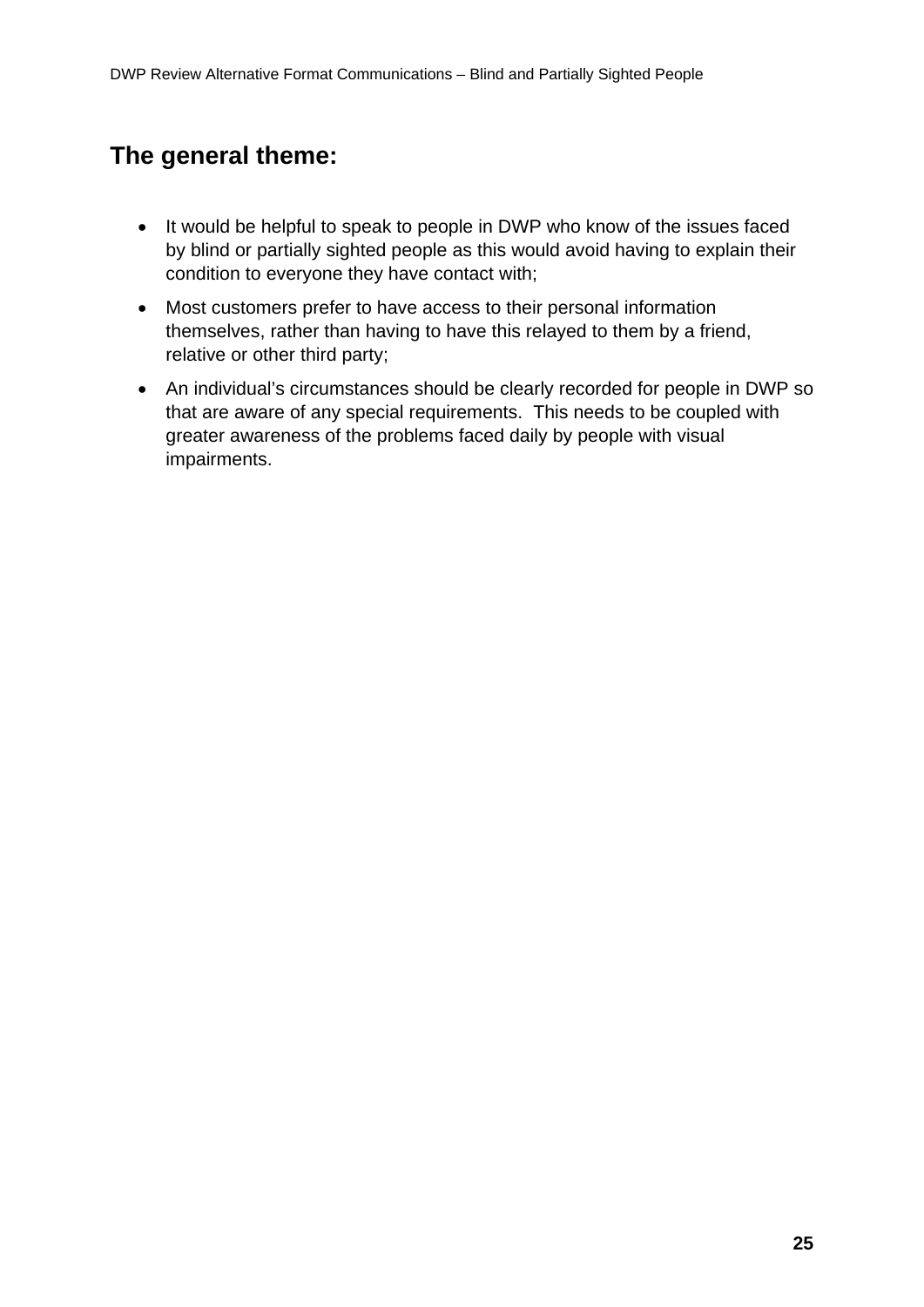### **The general theme:**

- It would be helpful to speak to people in DWP who know of the issues faced by blind or partially sighted people as this would avoid having to explain their condition to everyone they have contact with;
- Most customers prefer to have access to their personal information themselves, rather than having to have this relayed to them by a friend, relative or other third party;
- An individual's circumstances should be clearly recorded for people in DWP so that are aware of any special requirements. This needs to be coupled with greater awareness of the problems faced daily by people with visual impairments.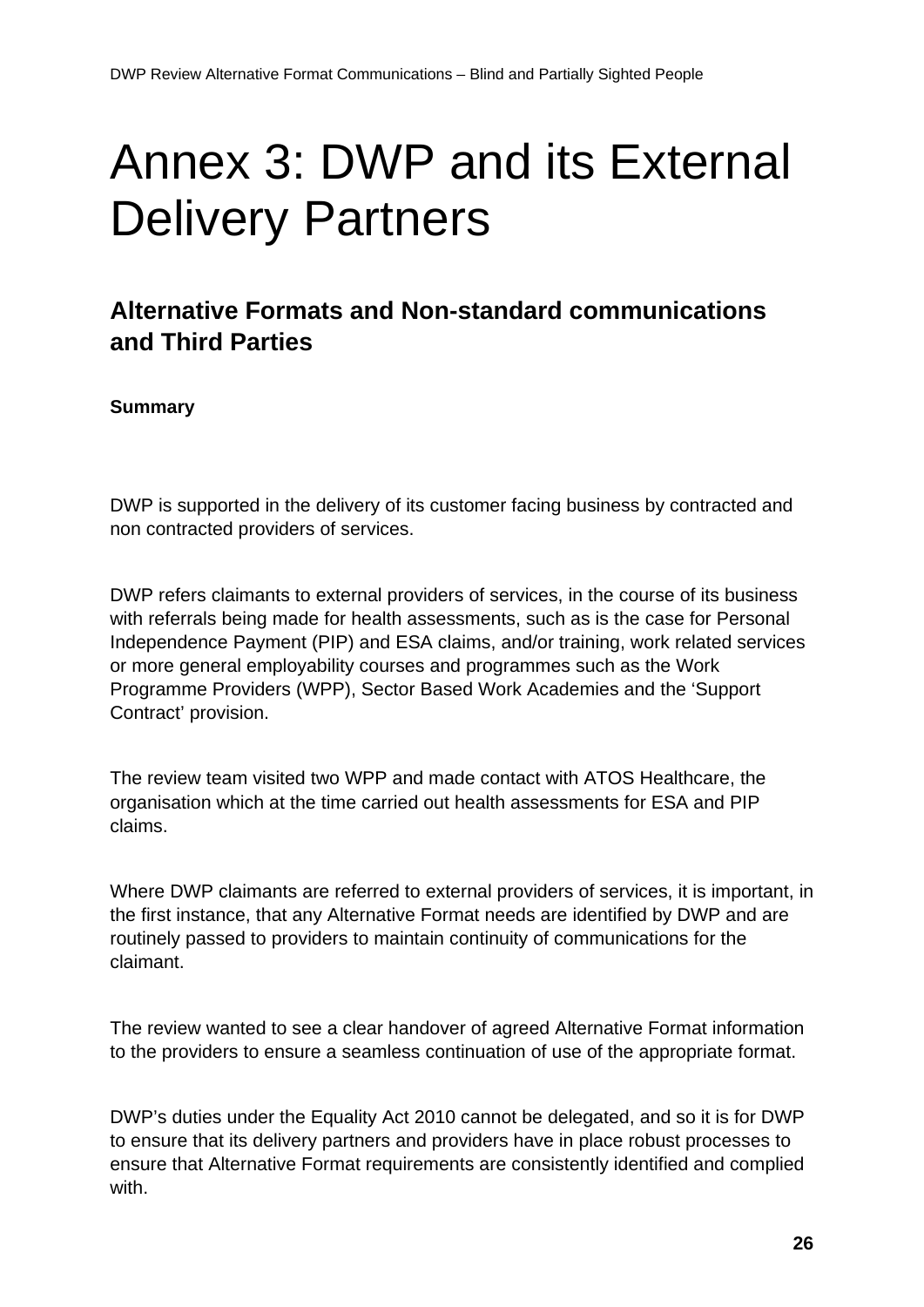# <span id="page-25-0"></span>Annex 3: DWP and its External Delivery Partners

### **Alternative Formats and Non-standard communications and Third Parties**

#### **Summary**

DWP is supported in the delivery of its customer facing business by contracted and non contracted providers of services.

DWP refers claimants to external providers of services, in the course of its business with referrals being made for health assessments, such as is the case for Personal Independence Payment (PIP) and ESA claims, and/or training, work related services or more general employability courses and programmes such as the Work Programme Providers (WPP), Sector Based Work Academies and the 'Support Contract' provision.

The review team visited two WPP and made contact with ATOS Healthcare, the organisation which at the time carried out health assessments for ESA and PIP claims.

Where DWP claimants are referred to external providers of services, it is important, in the first instance, that any Alternative Format needs are identified by DWP and are routinely passed to providers to maintain continuity of communications for the claimant.

The review wanted to see a clear handover of agreed Alternative Format information to the providers to ensure a seamless continuation of use of the appropriate format.

DWP's duties under the Equality Act 2010 cannot be delegated, and so it is for DWP to ensure that its delivery partners and providers have in place robust processes to ensure that Alternative Format requirements are consistently identified and complied with.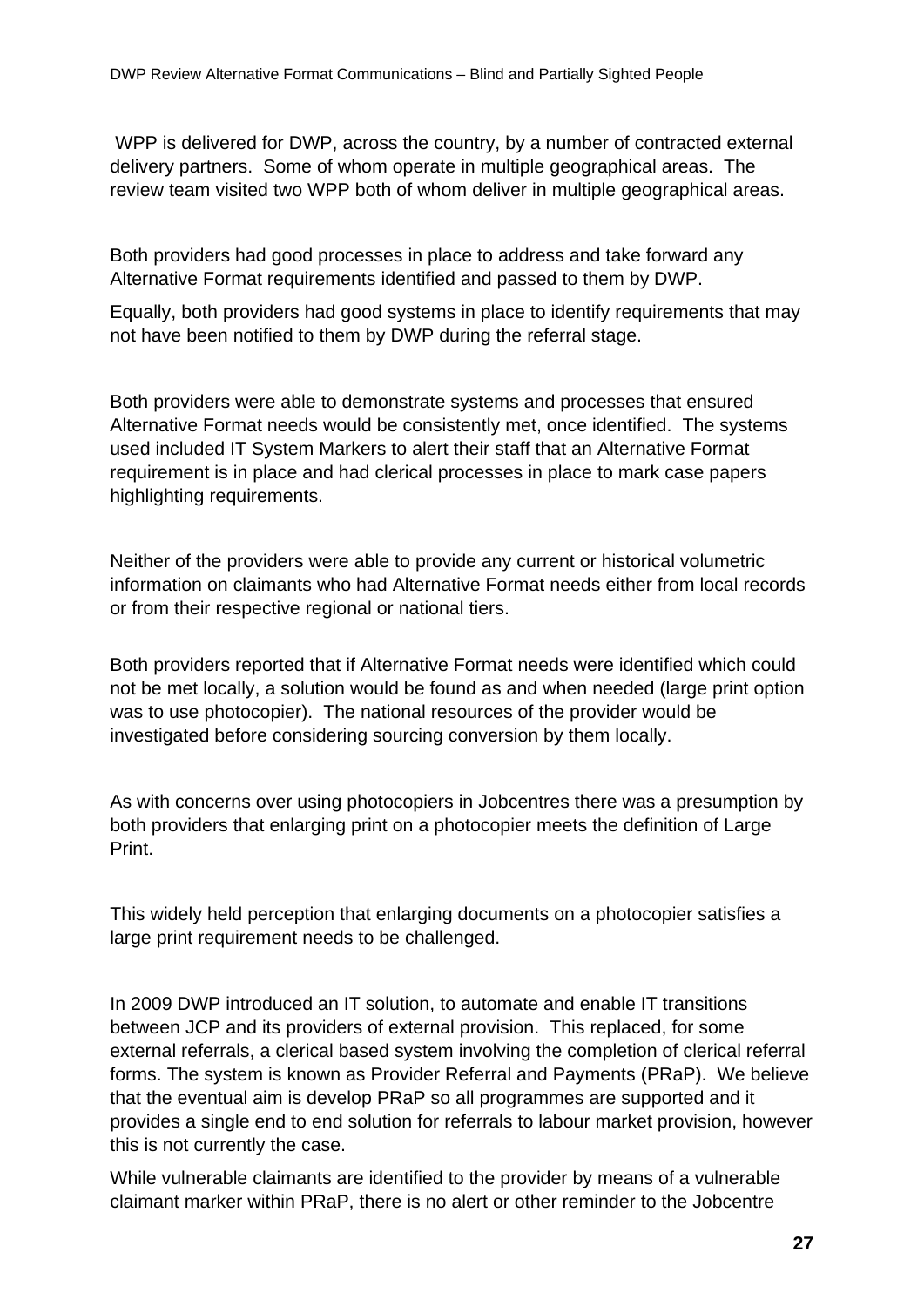WPP is delivered for DWP, across the country, by a number of contracted external delivery partners. Some of whom operate in multiple geographical areas. The review team visited two WPP both of whom deliver in multiple geographical areas.

Both providers had good processes in place to address and take forward any Alternative Format requirements identified and passed to them by DWP.

Equally, both providers had good systems in place to identify requirements that may not have been notified to them by DWP during the referral stage.

Both providers were able to demonstrate systems and processes that ensured Alternative Format needs would be consistently met, once identified. The systems used included IT System Markers to alert their staff that an Alternative Format requirement is in place and had clerical processes in place to mark case papers highlighting requirements.

Neither of the providers were able to provide any current or historical volumetric information on claimants who had Alternative Format needs either from local records or from their respective regional or national tiers.

Both providers reported that if Alternative Format needs were identified which could not be met locally, a solution would be found as and when needed (large print option was to use photocopier). The national resources of the provider would be investigated before considering sourcing conversion by them locally.

As with concerns over using photocopiers in Jobcentres there was a presumption by both providers that enlarging print on a photocopier meets the definition of Large Print.

This widely held perception that enlarging documents on a photocopier satisfies a large print requirement needs to be challenged.

In 2009 DWP introduced an IT solution, to automate and enable IT transitions between JCP and its providers of external provision. This replaced, for some external referrals, a clerical based system involving the completion of clerical referral forms. The system is known as Provider Referral and Payments (PRaP). We believe that the eventual aim is develop PRaP so all programmes are supported and it provides a single end to end solution for referrals to labour market provision, however this is not currently the case.

While vulnerable claimants are identified to the provider by means of a vulnerable claimant marker within PRaP, there is no alert or other reminder to the Jobcentre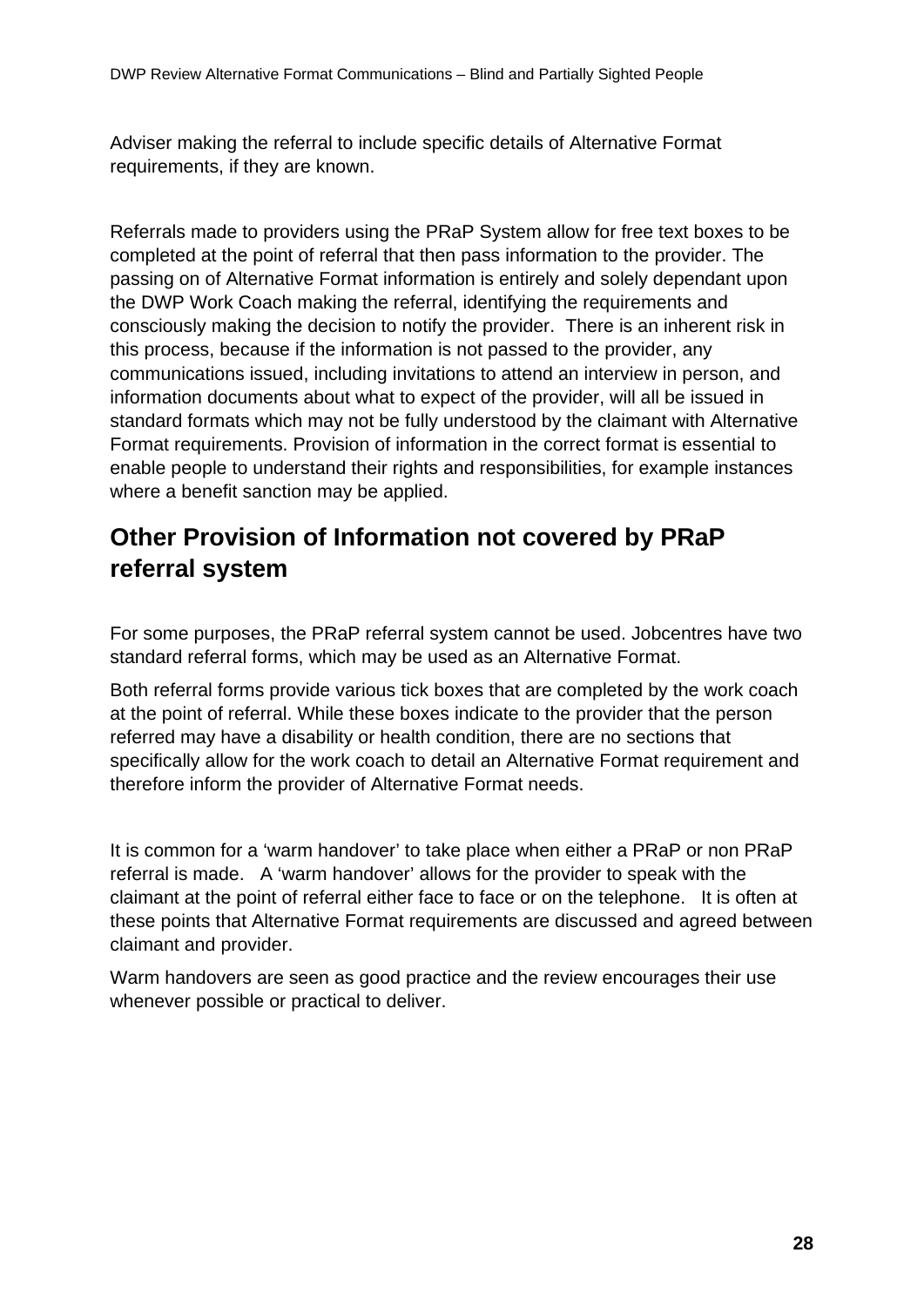Adviser making the referral to include specific details of Alternative Format requirements, if they are known.

Referrals made to providers using the PRaP System allow for free text boxes to be completed at the point of referral that then pass information to the provider. The passing on of Alternative Format information is entirely and solely dependant upon the DWP Work Coach making the referral, identifying the requirements and consciously making the decision to notify the provider. There is an inherent risk in this process, because if the information is not passed to the provider, any communications issued, including invitations to attend an interview in person, and information documents about what to expect of the provider, will all be issued in standard formats which may not be fully understood by the claimant with Alternative Format requirements. Provision of information in the correct format is essential to enable people to understand their rights and responsibilities, for example instances where a benefit sanction may be applied.

### **Other Provision of Information not covered by PRaP referral system**

For some purposes, the PRaP referral system cannot be used. Jobcentres have two standard referral forms, which may be used as an Alternative Format.

Both referral forms provide various tick boxes that are completed by the work coach at the point of referral. While these boxes indicate to the provider that the person referred may have a disability or health condition, there are no sections that specifically allow for the work coach to detail an Alternative Format requirement and therefore inform the provider of Alternative Format needs.

It is common for a 'warm handover' to take place when either a PRaP or non PRaP referral is made. A 'warm handover' allows for the provider to speak with the claimant at the point of referral either face to face or on the telephone. It is often at these points that Alternative Format requirements are discussed and agreed between claimant and provider.

Warm handovers are seen as good practice and the review encourages their use whenever possible or practical to deliver.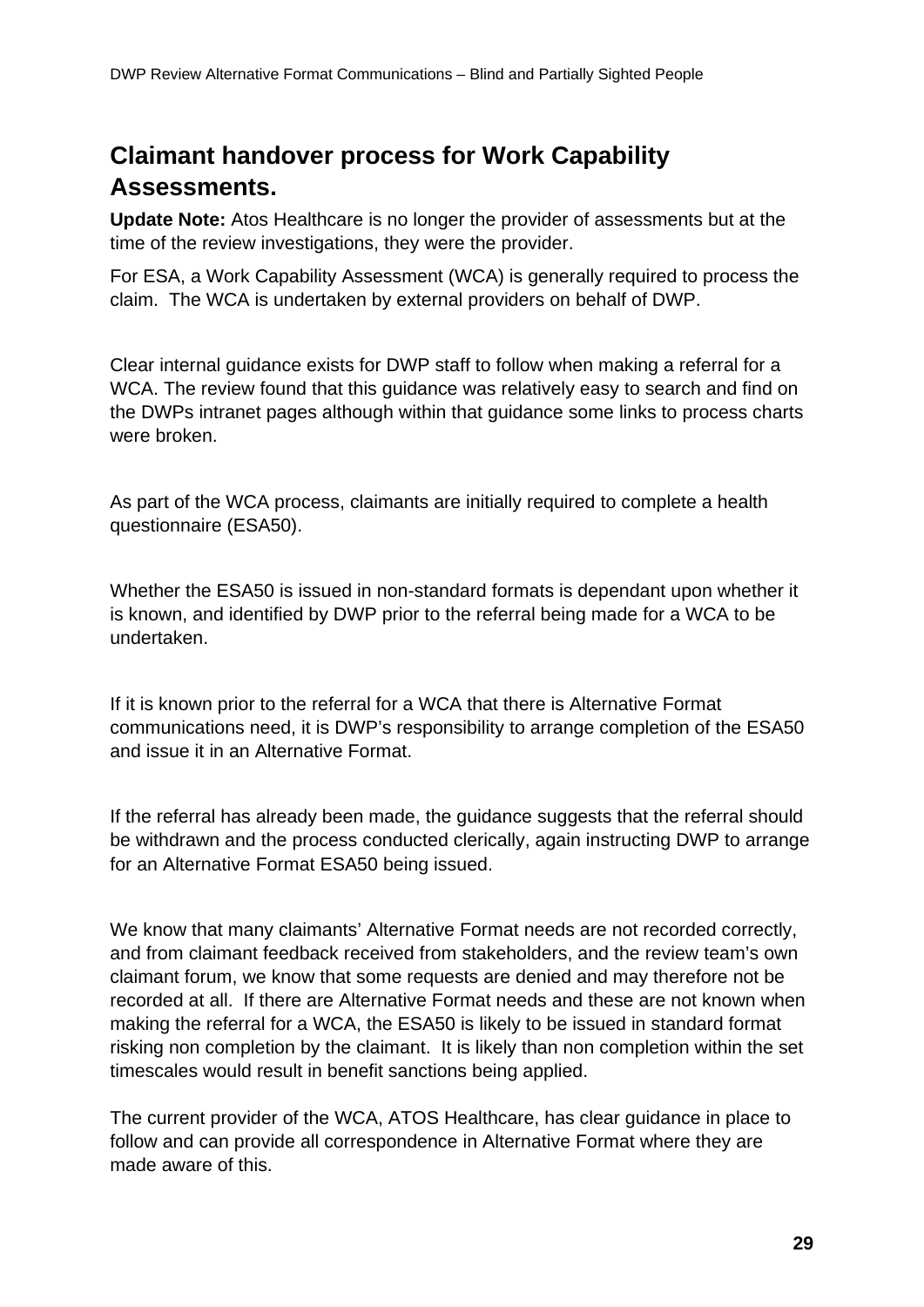### **Claimant handover process for Work Capability Assessments.**

**Update Note:** Atos Healthcare is no longer the provider of assessments but at the time of the review investigations, they were the provider.

For ESA, a Work Capability Assessment (WCA) is generally required to process the claim. The WCA is undertaken by external providers on behalf of DWP.

Clear internal guidance exists for DWP staff to follow when making a referral for a WCA. The review found that this guidance was relatively easy to search and find on the DWPs intranet pages although within that guidance some links to process charts were broken.

As part of the WCA process, claimants are initially required to complete a health questionnaire (ESA50).

Whether the ESA50 is issued in non-standard formats is dependant upon whether it is known, and identified by DWP prior to the referral being made for a WCA to be undertaken.

If it is known prior to the referral for a WCA that there is Alternative Format communications need, it is DWP's responsibility to arrange completion of the ESA50 and issue it in an Alternative Format.

If the referral has already been made, the guidance suggests that the referral should be withdrawn and the process conducted clerically, again instructing DWP to arrange for an Alternative Format ESA50 being issued.

We know that many claimants' Alternative Format needs are not recorded correctly, and from claimant feedback received from stakeholders, and the review team's own claimant forum, we know that some requests are denied and may therefore not be recorded at all. If there are Alternative Format needs and these are not known when making the referral for a WCA, the ESA50 is likely to be issued in standard format risking non completion by the claimant. It is likely than non completion within the set timescales would result in benefit sanctions being applied.

The current provider of the WCA, ATOS Healthcare, has clear guidance in place to follow and can provide all correspondence in Alternative Format where they are made aware of this.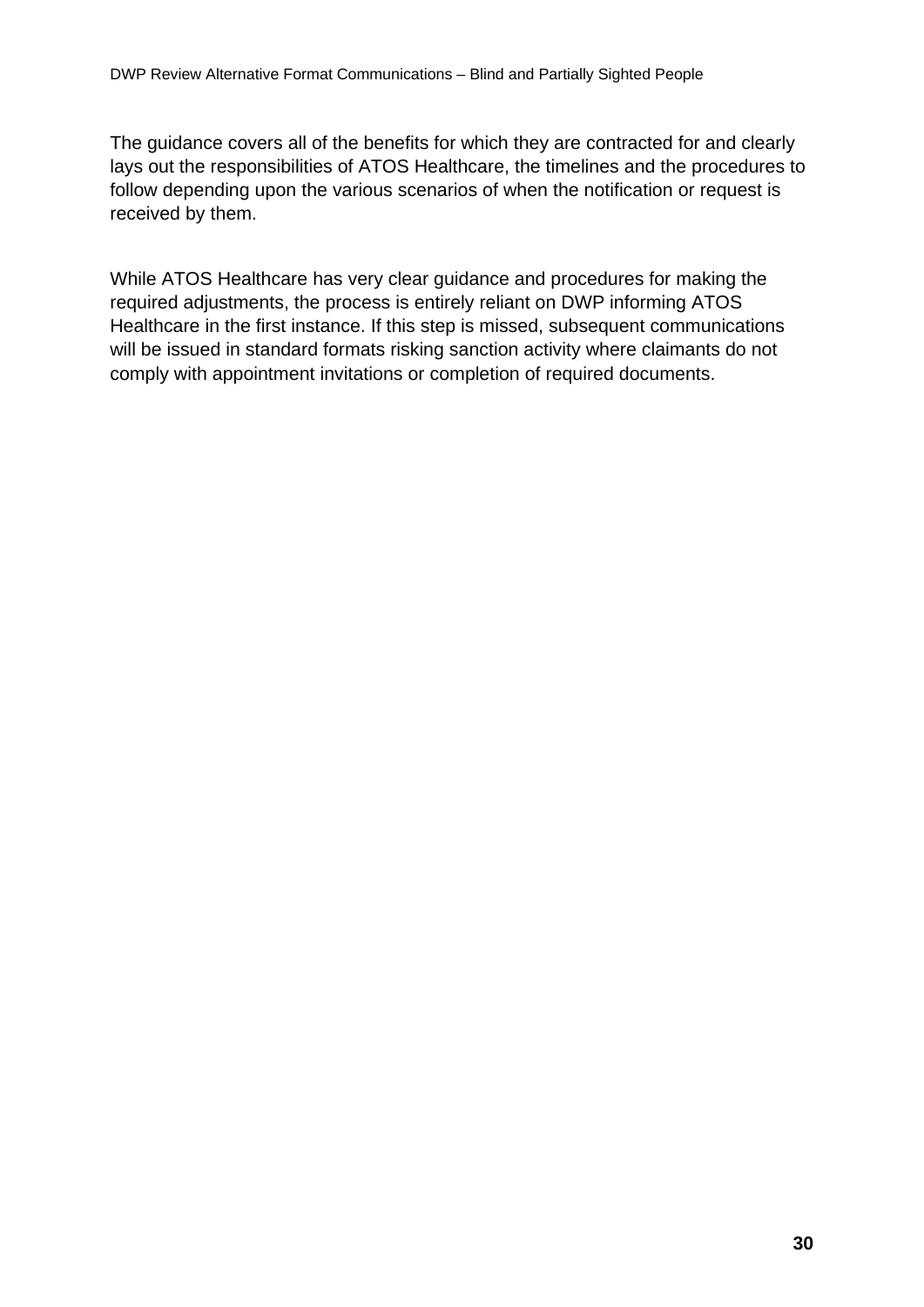The guidance covers all of the benefits for which they are contracted for and clearly lays out the responsibilities of ATOS Healthcare, the timelines and the procedures to follow depending upon the various scenarios of when the notification or request is received by them.

While ATOS Healthcare has very clear guidance and procedures for making the required adjustments, the process is entirely reliant on DWP informing ATOS Healthcare in the first instance. If this step is missed, subsequent communications will be issued in standard formats risking sanction activity where claimants do not comply with appointment invitations or completion of required documents.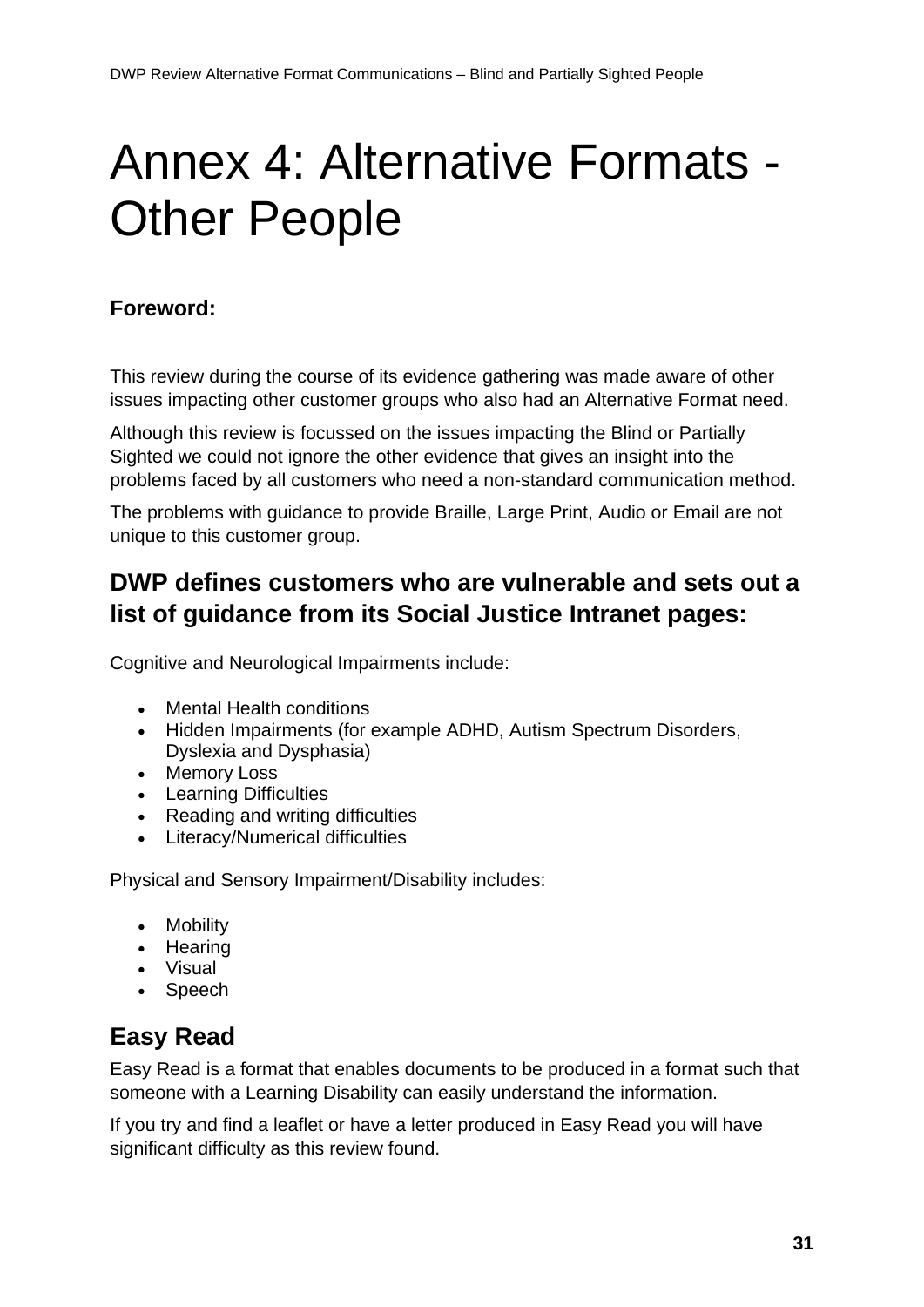# <span id="page-30-0"></span>Annex 4: Alternative Formats - Other People

#### **Foreword:**

This review during the course of its evidence gathering was made aware of other issues impacting other customer groups who also had an Alternative Format need.

Although this review is focussed on the issues impacting the Blind or Partially Sighted we could not ignore the other evidence that gives an insight into the problems faced by all customers who need a non-standard communication method.

The problems with guidance to provide Braille, Large Print, Audio or Email are not unique to this customer group.

### **DWP defines customers who are vulnerable and sets out a list of guidance from its Social Justice Intranet pages:**

Cognitive and Neurological Impairments include:

- Mental Health conditions
- Hidden Impairments (for example ADHD, Autism Spectrum Disorders, Dyslexia and Dysphasia)
- Memory Loss
- Learning Difficulties
- Reading and writing difficulties
- Literacy/Numerical difficulties

Physical and Sensory Impairment/Disability includes:

- Mobility
- Hearing
- Visual
- Speech

### **Easy Read**

Easy Read is a format that enables documents to be produced in a format such that someone with a Learning Disability can easily understand the information.

If you try and find a leaflet or have a letter produced in Easy Read you will have significant difficulty as this review found.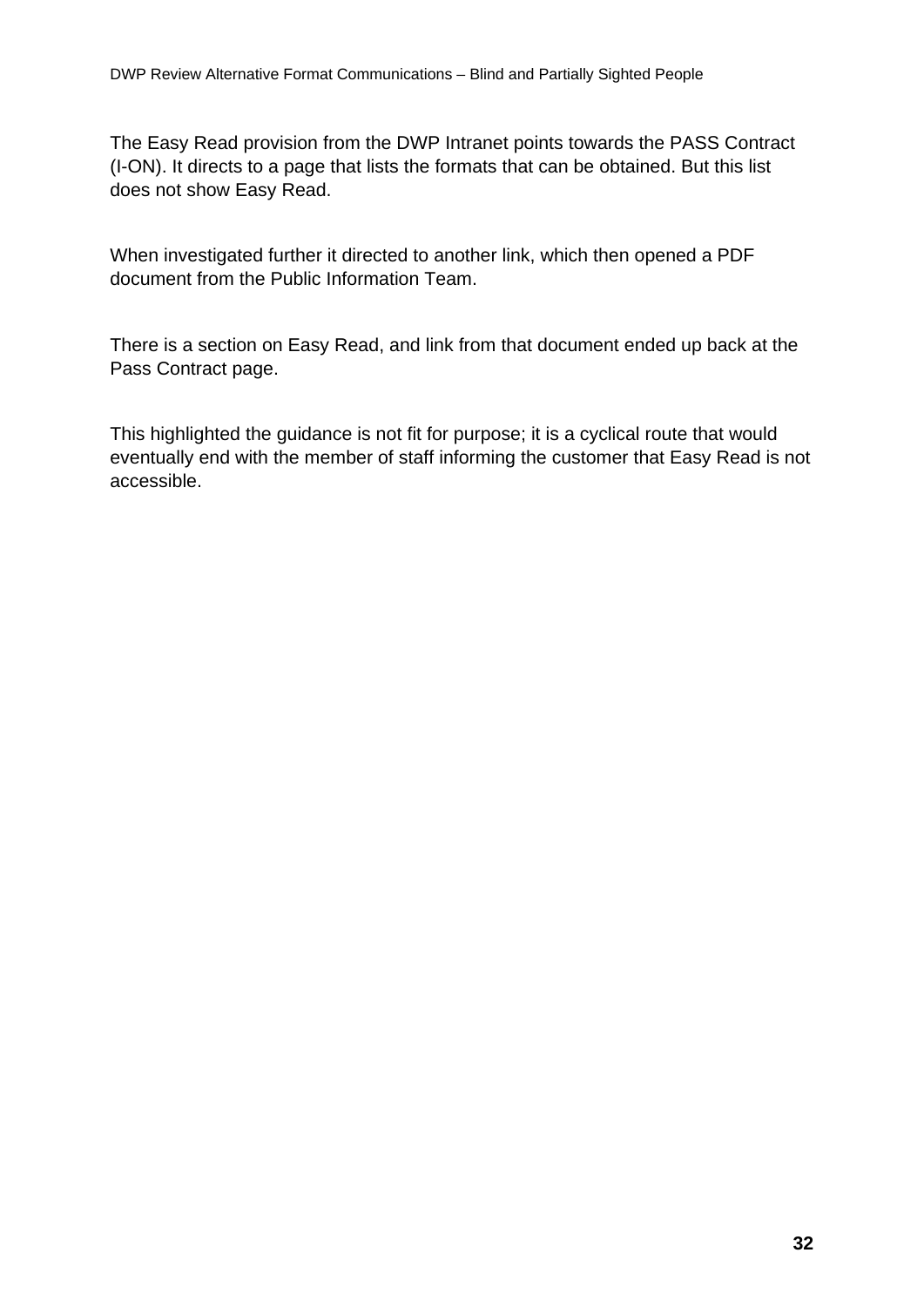The Easy Read provision from the DWP Intranet points towards the PASS Contract (I-ON). It directs to a page that lists the formats that can be obtained. But this list does not show Easy Read.

When investigated further it directed to another link, which then opened a PDF document from the Public Information Team.

There is a section on Easy Read, and link from that document ended up back at the Pass Contract page.

This highlighted the guidance is not fit for purpose; it is a cyclical route that would eventually end with the member of staff informing the customer that Easy Read is not accessible.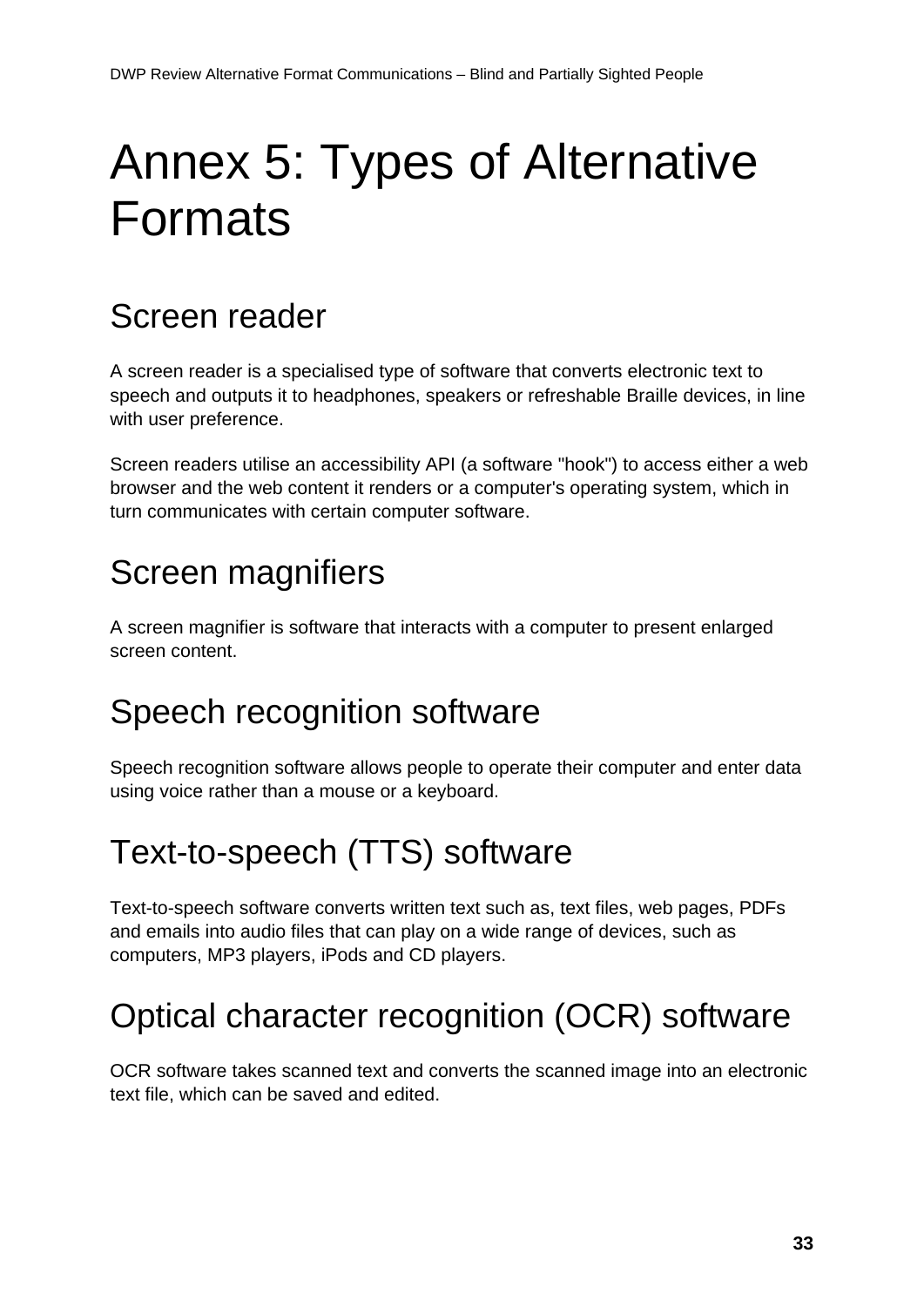# <span id="page-32-0"></span>Annex 5: Types of Alternative Formats

## Screen reader

A screen reader is a specialised type of software that converts electronic text to speech and outputs it to headphones, speakers or refreshable Braille devices, in line with user preference.

Screen readers utilise an accessibility API (a software "hook") to access either a web browser and the web content it renders or a computer's operating system, which in turn communicates with certain computer software.

## Screen magnifiers

A screen magnifier is software that interacts with a computer to present enlarged screen content.

## Speech recognition software

Speech recognition software allows people to operate their computer and enter data using voice rather than a mouse or a keyboard.

## Text-to-speech (TTS) software

Text-to-speech software converts written text such as, text files, web pages, PDFs and emails into audio files that can play on a wide range of devices, such as computers, MP3 players, iPods and CD players.

## Optical character recognition (OCR) software

OCR software takes scanned text and converts the scanned image into an electronic text file, which can be saved and edited.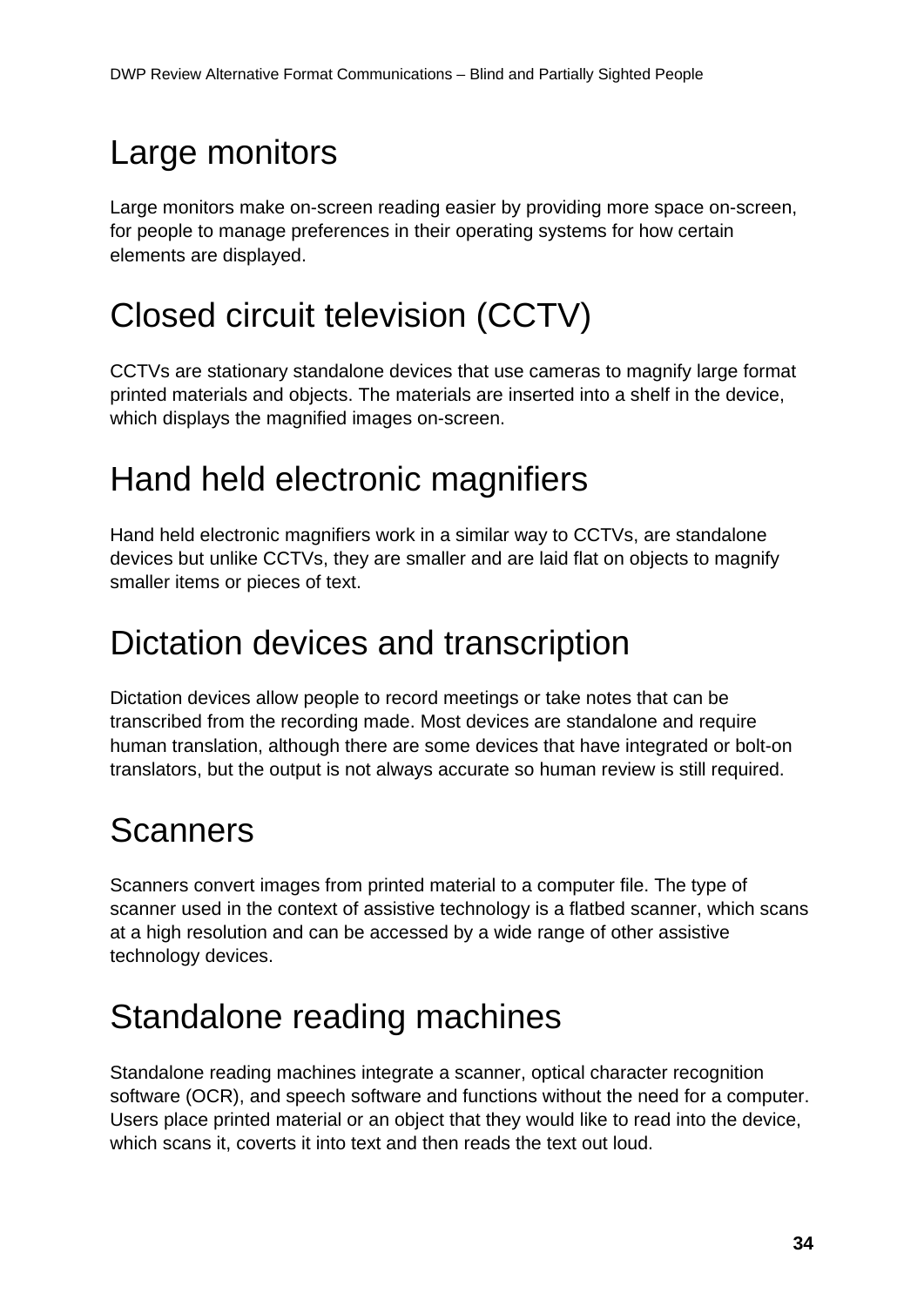## Large monitors

Large monitors make on-screen reading easier by providing more space on-screen, for people to manage preferences in their operating systems for how certain elements are displayed.

## Closed circuit television (CCTV)

CCTVs are stationary standalone devices that use cameras to magnify large format printed materials and objects. The materials are inserted into a shelf in the device, which displays the magnified images on-screen.

## Hand held electronic magnifiers

Hand held electronic magnifiers work in a similar way to CCTVs, are standalone devices but unlike CCTVs, they are smaller and are laid flat on objects to magnify smaller items or pieces of text.

## Dictation devices and transcription

Dictation devices allow people to record meetings or take notes that can be transcribed from the recording made. Most devices are standalone and require human translation, although there are some devices that have integrated or bolt-on translators, but the output is not always accurate so human review is still required.

## **Scanners**

Scanners convert images from printed material to a computer file. The type of scanner used in the context of assistive technology is a flatbed scanner, which scans at a high resolution and can be accessed by a wide range of other assistive technology devices.

## Standalone reading machines

Standalone reading machines integrate a scanner, optical character recognition software (OCR), and speech software and functions without the need for a computer. Users place printed material or an object that they would like to read into the device, which scans it, coverts it into text and then reads the text out loud.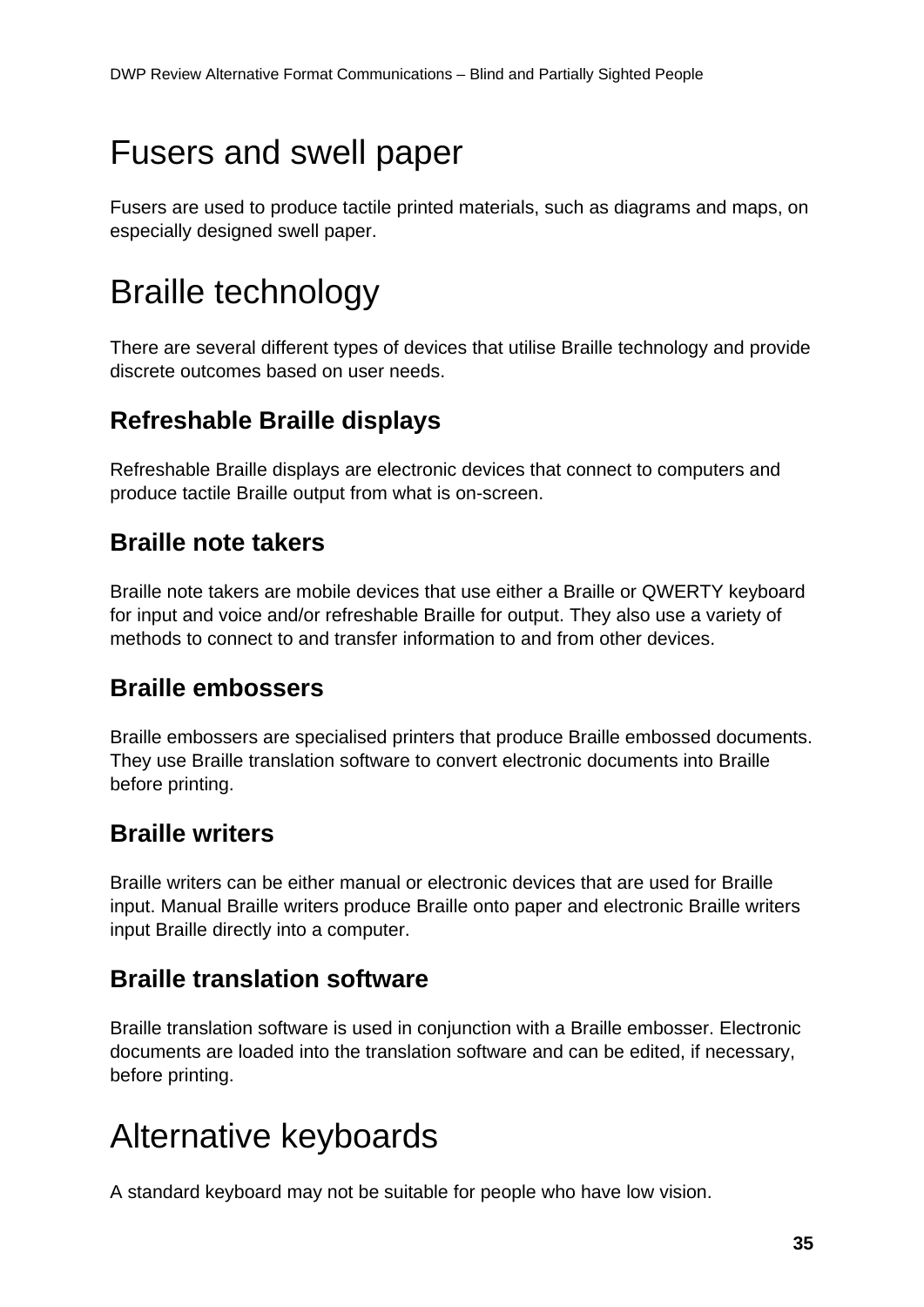## Fusers and swell paper

Fusers are used to produce tactile printed materials, such as diagrams and maps, on especially designed swell paper.

## Braille technology

There are several different types of devices that utilise Braille technology and provide discrete outcomes based on user needs.

### **Refreshable Braille displays**

Refreshable Braille displays are electronic devices that connect to computers and produce tactile Braille output from what is on-screen.

### **Braille note takers**

Braille note takers are mobile devices that use either a Braille or QWERTY keyboard for input and voice and/or refreshable Braille for output. They also use a variety of methods to connect to and transfer information to and from other devices.

### **Braille embossers**

Braille embossers are specialised printers that produce Braille embossed documents. They use Braille translation software to convert electronic documents into Braille before printing.

### **Braille writers**

Braille writers can be either manual or electronic devices that are used for Braille input. Manual Braille writers produce Braille onto paper and electronic Braille writers input Braille directly into a computer.

### **Braille translation software**

Braille translation software is used in conjunction with a Braille embosser. Electronic documents are loaded into the translation software and can be edited, if necessary, before printing.

## Alternative keyboards

A standard keyboard may not be suitable for people who have low vision.